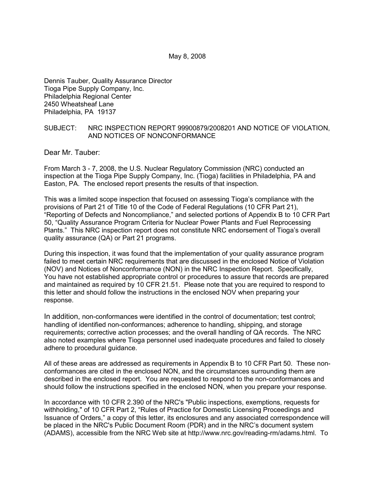Dennis Tauber, Quality Assurance Director Tioga Pipe Supply Company, Inc. Philadelphia Regional Center 2450 Wheatsheaf Lane Philadelphia, PA 19137

### SUBJECT: NRC INSPECTION REPORT 99900879/2008201 AND NOTICE OF VIOLATION, AND NOTICES OF NONCONFORMANCE

Dear Mr. Tauber:

From March 3 - 7, 2008, the U.S. Nuclear Regulatory Commission (NRC) conducted an inspection at the Tioga Pipe Supply Company, Inc. (Tioga) facilities in Philadelphia, PA and Easton, PA. The enclosed report presents the results of that inspection.

This was a limited scope inspection that focused on assessing Tioga's compliance with the provisions of Part 21 of Title 10 of the Code of Federal Regulations (10 CFR Part 21), "Reporting of Defects and Noncompliance," and selected portions of Appendix B to 10 CFR Part 50, "Quality Assurance Program Criteria for Nuclear Power Plants and Fuel Reprocessing Plants." This NRC inspection report does not constitute NRC endorsement of Tioga's overall quality assurance (QA) or Part 21 programs.

During this inspection, it was found that the implementation of your quality assurance program failed to meet certain NRC requirements that are discussed in the enclosed Notice of Violation (NOV) and Notices of Nonconformance (NON) in the NRC Inspection Report. Specifically, You have not established appropriate control or procedures to assure that records are prepared and maintained as required by 10 CFR 21.51. Please note that you are required to respond to this letter and should follow the instructions in the enclosed NOV when preparing your response.

In addition, non-conformances were identified in the control of documentation; test control; handling of identified non-conformances; adherence to handling, shipping, and storage requirements; corrective action processes; and the overall handling of QA records. The NRC also noted examples where Tioga personnel used inadequate procedures and failed to closely adhere to procedural guidance.

All of these areas are addressed as requirements in Appendix B to 10 CFR Part 50. These nonconformances are cited in the enclosed NON, and the circumstances surrounding them are described in the enclosed report. You are requested to respond to the non-conformances and should follow the instructions specified in the enclosed NON, when you prepare your response.

In accordance with 10 CFR 2.390 of the NRC's "Public inspections, exemptions, requests for withholding," of 10 CFR Part 2, "Rules of Practice for Domestic Licensing Proceedings and Issuance of Orders," a copy of this letter, its enclosures and any associated correspondence will be placed in the NRC's Public Document Room (PDR) and in the NRC's document system (ADAMS), accessible from the NRC Web site at http://www.nrc.gov/reading-rm/adams.html. To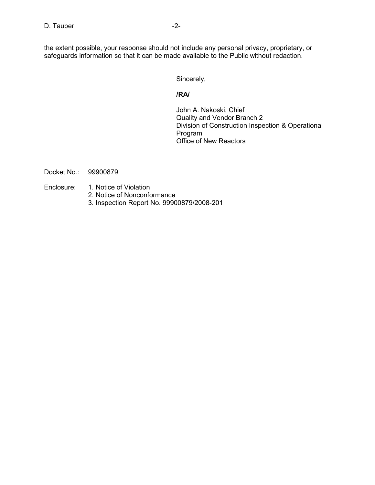the extent possible, your response should not include any personal privacy, proprietary, or safeguards information so that it can be made available to the Public without redaction.

Sincerely,

### **/RA/**

John A. Nakoski, Chief Quality and Vendor Branch 2 Division of Construction Inspection & Operational Program Office of New Reactors

Docket No.: 99900879

- Enclosure: 1. Notice of Violation
	- 2. Notice of Nonconformance
	- 3. Inspection Report No. 99900879/2008-201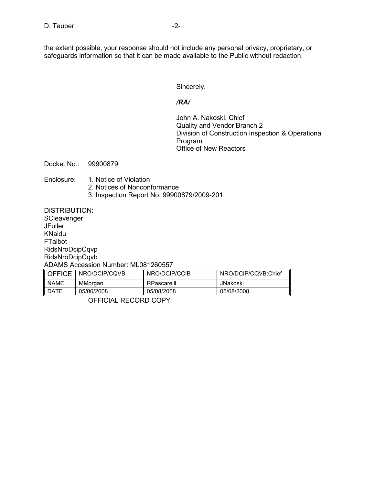the extent possible, your response should not include any personal privacy, proprietary, or safeguards information so that it can be made available to the Public without redaction.

Sincerely,

### */RA/*

John A. Nakoski, Chief Quality and Vendor Branch 2 Division of Construction Inspection & Operational Program Office of New Reactors

Docket No.: 99900879

# Enclosure: 1. Notice of Violation

- 2. Notices of Nonconformance
- 3. Inspection Report No. 99900879/2009-201

DISTRIBUTION:

**SCleavenger JFuller** KNaidu FTalbot RidsNroDcipCqvp RidsNroDcipCqvb ADAMS Accession Number: ML081260557

| <b>OFFICE</b> | I NRO/DCIP/CQVB | NRO/DCIP/CCIB | NRO/DCIP/CQVB:Chief |
|---------------|-----------------|---------------|---------------------|
| <b>NAME</b>   | MMorgan         | RPascarelli   | JNakoski            |
| II DATE       | 05/06/2008      | 05/08/2008    | 05/08/2008          |

OFFICIAL RECORD COPY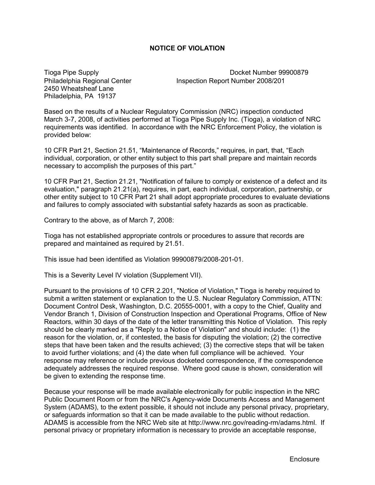# **NOTICE OF VIOLATION**

2450 Wheatsheaf Lane Philadelphia, PA 19137

Tioga Pipe Supply Docket Number 99900879 Philadelphia Regional Center Inspection Report Number 2008/201

Based on the results of a Nuclear Regulatory Commission (NRC) inspection conducted March 3-7, 2008, of activities performed at Tioga Pipe Supply Inc. (Tioga), a violation of NRC requirements was identified. In accordance with the NRC Enforcement Policy, the violation is provided below:

10 CFR Part 21, Section 21.51, "Maintenance of Records," requires, in part, that, "Each individual, corporation, or other entity subject to this part shall prepare and maintain records necessary to accomplish the purposes of this part."

10 CFR Part 21, Section 21.21, "Notification of failure to comply or existence of a defect and its evaluation," paragraph 21.21(a), requires, in part, each individual, corporation, partnership, or other entity subject to 10 CFR Part 21 shall adopt appropriate procedures to evaluate deviations and failures to comply associated with substantial safety hazards as soon as practicable.

Contrary to the above, as of March 7, 2008:

Tioga has not established appropriate controls or procedures to assure that records are prepared and maintained as required by 21.51.

This issue had been identified as Violation 99900879/2008-201-01.

This is a Severity Level IV violation (Supplement VII).

Pursuant to the provisions of 10 CFR 2.201, "Notice of Violation," Tioga is hereby required to submit a written statement or explanation to the U.S. Nuclear Regulatory Commission, ATTN: Document Control Desk, Washington, D.C. 20555-0001, with a copy to the Chief, Quality and Vendor Branch 1, Division of Construction Inspection and Operational Programs, Office of New Reactors, within 30 days of the date of the letter transmitting this Notice of Violation. This reply should be clearly marked as a "Reply to a Notice of Violation" and should include: (1) the reason for the violation, or, if contested, the basis for disputing the violation; (2) the corrective steps that have been taken and the results achieved; (3) the corrective steps that will be taken to avoid further violations; and (4) the date when full compliance will be achieved. Your response may reference or include previous docketed correspondence, if the correspondence adequately addresses the required response. Where good cause is shown, consideration will be given to extending the response time.

Because your response will be made available electronically for public inspection in the NRC Public Document Room or from the NRC's Agency-wide Documents Access and Management System (ADAMS), to the extent possible, it should not include any personal privacy, proprietary, or safeguards information so that it can be made available to the public without redaction. ADAMS is accessible from the NRC Web site at http://www.nrc.gov/reading-rm/adams.html. If personal privacy or proprietary information is necessary to provide an acceptable response,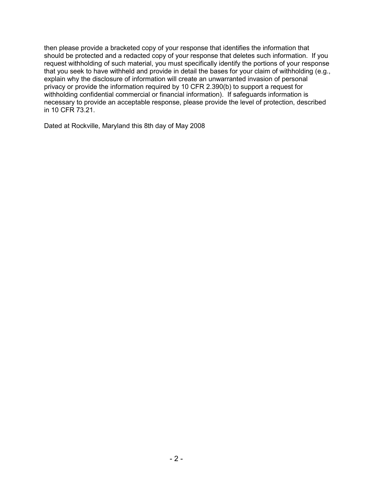then please provide a bracketed copy of your response that identifies the information that should be protected and a redacted copy of your response that deletes such information. If you request withholding of such material, you must specifically identify the portions of your response that you seek to have withheld and provide in detail the bases for your claim of withholding (e.g., explain why the disclosure of information will create an unwarranted invasion of personal privacy or provide the information required by 10 CFR 2.390(b) to support a request for withholding confidential commercial or financial information). If safeguards information is necessary to provide an acceptable response, please provide the level of protection, described in 10 CFR 73.21.

Dated at Rockville, Maryland this 8th day of May 2008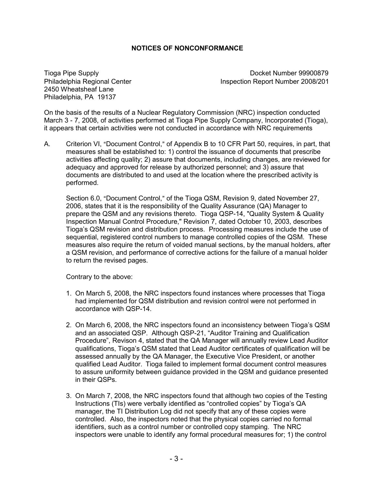# **NOTICES OF NONCONFORMANCE**

2450 Wheatsheaf Lane Philadelphia, PA 19137

Tioga Pipe Supply Docket Number 99900879 Philadelphia Regional Center **Inspection Report Number 2008/201** 

On the basis of the results of a Nuclear Regulatory Commission (NRC) inspection conducted March 3 - 7, 2008, of activities performed at Tioga Pipe Supply Company, Incorporated (Tioga), it appears that certain activities were not conducted in accordance with NRC requirements

A. Criterion VI, "Document Control," of Appendix B to 10 CFR Part 50, requires, in part, that measures shall be established to: 1) control the issuance of documents that prescribe activities affecting quality; 2) assure that documents, including changes, are reviewed for adequacy and approved for release by authorized personnel; and 3) assure that documents are distributed to and used at the location where the prescribed activity is performed.

Section 6.0, "Document Control," of the Tioga QSM, Revision 9, dated November 27, 2006, states that it is the responsibility of the Quality Assurance (QA) Manager to prepare the QSM and any revisions thereto. Tioga QSP-14, "Quality System & Quality Inspection Manual Control Procedure," Revision 7, dated October 10, 2003, describes Tioga's QSM revision and distribution process. Processing measures include the use of sequential, registered control numbers to manage controlled copies of the QSM. These measures also require the return of voided manual sections, by the manual holders, after a QSM revision, and performance of corrective actions for the failure of a manual holder to return the revised pages.

Contrary to the above:

- 1. On March 5, 2008, the NRC inspectors found instances where processes that Tioga had implemented for QSM distribution and revision control were not performed in accordance with QSP-14.
- 2. On March 6, 2008, the NRC inspectors found an inconsistency between Tioga's QSM and an associated QSP. Although QSP-21, "Auditor Training and Qualification Procedure", Revison 4, stated that the QA Manager will annually review Lead Auditor qualifications, Tioga's QSM stated that Lead Auditor certificates of qualification will be assessed annually by the QA Manager, the Executive Vice President, or another qualified Lead Auditor. Tioga failed to implement formal document control measures to assure uniformity between guidance provided in the QSM and guidance presented in their QSPs.
- 3. On March 7, 2008, the NRC inspectors found that although two copies of the Testing Instructions (TIs) were verbally identified as "controlled copies" by Tioga's QA manager, the TI Distribution Log did not specify that any of these copies were controlled. Also, the inspectors noted that the physical copies carried no formal identifiers, such as a control number or controlled copy stamping. The NRC inspectors were unable to identify any formal procedural measures for; 1) the control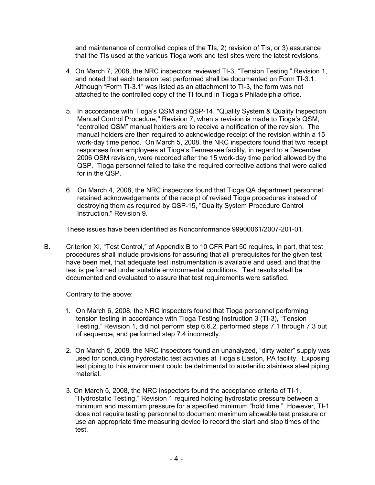and maintenance of controlled copies of the TIs, 2) revision of TIs, or 3) assurance that the TIs used at the various Tioga work and test sites were the latest revisions.

- 4. On March 7, 2008, the NRC inspectors reviewed TI-3, "Tension Testing," Revision 1, and noted that each tension test performed shall be documented on Form TI-3.1. Although "Form TI-3.1" was listed as an attachment to TI-3, the form was not attached to the controlled copy of the TI found in Tioga's Philadelphia office.
- 5. In accordance with Tioga's QSM and QSP-14, "Quality System & Quality Inspection Manual Control Procedure," Revision 7, when a revision is made to Tioga's QSM, "controlled QSM" manual holders are to receive a notification of the revision. The manual holders are then required to acknowledge receipt of the revision within a 15 work-day time period. On March 5, 2008, the NRC inspectors found that two receipt responses from employees at Tioga's Tennessee facility, in regard to a December 2006 QSM revision, were recorded after the 15 work-day time period allowed by the QSP. Tioga personnel failed to take the required corrective actions that were called for in the QSP.
- 6. On March 4, 2008, the NRC inspectors found that Tioga QA department personnel retained acknowedgements of the receipt of revised Tioga procedures instead of destroying them as required by QSP-15, "Quality System Procedure Control Instruction," Revision 9.

These issues have been identified as Nonconformance 99900061/2007-201-01.

B. Criterion XI, "Test Control," of Appendix B to 10 CFR Part 50 requires, in part, that test procedures shall include provisions for assuring that all prerequisites for the given test have been met, that adequate test instrumentation is available and used, and that the test is performed under suitable environmental conditions. Test results shall be documented and evaluated to assure that test requirements were satisfied.

Contrary to the above:

- 1. On March 6, 2008, the NRC inspectors found that Tioga personnel performing tension testing in accordance with Tioga Testing Instruction 3 (TI-3), "Tension Testing," Revision 1, did not perform step 6.6.2, performed steps 7.1 through 7.3 out of sequence, and performed step 7.4 incorrectly.
- 2. On March 5, 2008, the NRC inspectors found an unanalyzed, "dirty water" supply was used for conducting hydrostatic test activities at Tioga's Easton, PA facility. Exposing test piping to this environment could be detrimental to austenitic stainless steel piping material.
- 3. On March 5, 2008, the NRC inspectors found the acceptance criteria of TI-1, "Hydrostatic Testing," Revision 1 required holding hydrostatic pressure between a minimum and maximum pressure for a specified minimum "hold time." However, TI-1 does not require testing personnel to document maximum allowable test pressure or use an appropriate time measuring device to record the start and stop times of the test.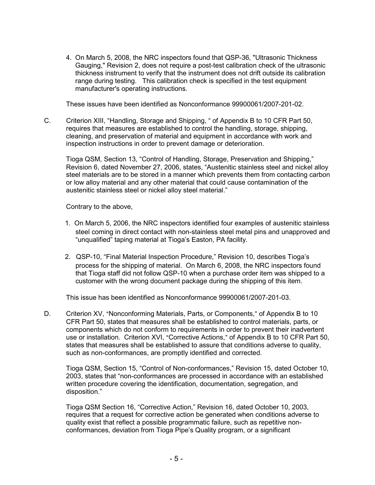4. On March 5, 2008, the NRC inspectors found that QSP-36, "Ultrasonic Thickness Gauging," Revision 2, does not require a post-test calibration check of the ultrasonic thickness instrument to verify that the instrument does not drift outside its calibration range during testing. This calibration check is specified in the test equipment manufacturer's operating instructions.

These issues have been identified as Nonconformance 99900061/2007-201-02.

C. Criterion XIII, "Handling, Storage and Shipping, " of Appendix B to 10 CFR Part 50, requires that measures are established to control the handling, storage, shipping, cleaning, and preservation of material and equipment in accordance with work and inspection instructions in order to prevent damage or deterioration.

 Tioga QSM, Section 13, "Control of Handling, Storage, Preservation and Shipping," Revision 6, dated November 27, 2006, states, "Austenitic stainless steel and nickel alloy steel materials are to be stored in a manner which prevents them from contacting carbon or low alloy material and any other material that could cause contamination of the austenitic stainless steel or nickel alloy steel material."

Contrary to the above,

- 1. On March 5, 2006, the NRC inspectors identified four examples of austenitic stainless steel coming in direct contact with non-stainless steel metal pins and unapproved and "unqualified" taping material at Tioga's Easton, PA facility.
- 2. QSP-10, "Final Material Inspection Procedure," Revision 10, describes Tioga's process for the shipping of material. On March 6, 2008, the NRC inspectors found that Tioga staff did not follow QSP-10 when a purchase order item was shipped to a customer with the wrong document package during the shipping of this item.

This issue has been identified as Nonconformance 99900061/2007-201-03.

D. Criterion XV, "Nonconforming Materials, Parts, or Components," of Appendix B to 10 CFR Part 50, states that measures shall be established to control materials, parts, or components which do not conform to requirements in order to prevent their inadvertent use or installation. Criterion XVI, "Corrective Actions," of Appendix B to 10 CFR Part 50, states that measures shall be established to assure that conditions adverse to quality, such as non-conformances, are promptly identified and corrected.

 Tioga QSM, Section 15, "Control of Non-conformances," Revision 15, dated October 10, 2003, states that "non-conformances are processed in accordance with an established written procedure covering the identification, documentation, segregation, and disposition."

 Tioga QSM Section 16, "Corrective Action," Revision 16, dated October 10, 2003, requires that a request for corrective action be generated when conditions adverse to quality exist that reflect a possible programmatic failure, such as repetitive nonconformances, deviation from Tioga Pipe's Quality program, or a significant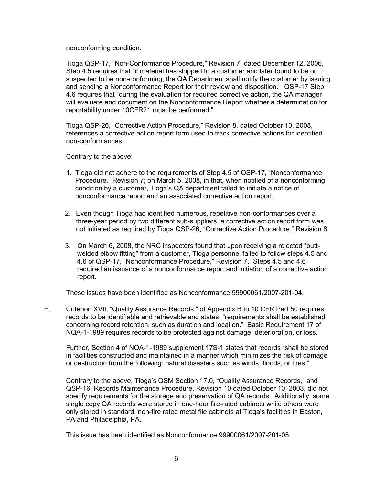nonconforming condition.

 Tioga QSP-17, "Non-Conformance Procedure," Revision 7, dated December 12, 2006, Step 4.5 requires that "if material has shipped to a customer and later found to be or suspected to be non-conforming, the QA Department shall notify the customer by issuing and sending a Nonconformance Report for their review and disposition." QSP-17 Step 4.6 requires that "during the evaluation for required corrective action, the QA manager will evaluate and document on the Nonconformance Report whether a determination for reportability under 10CFR21 must be performed."

Tioga QSP-26, "Corrective Action Procedure," Revision 8, dated October 10, 2008, references a corrective action report form used to track corrective actions for identified non-conformances.

Contrary to the above:

- 1. Tioga did not adhere to the requirements of Step 4.5 of QSP-17, "Nonconformance Procedure," Revision 7; on March 5, 2008, in that, when notified of a nonconforming condition by a customer, Tioga's QA department failed to initiate a notice of nonconformance report and an associated corrective action report.
- 2. Even though Tioga had identified numerous, repetitive non-conformances over a three-year period by two different sub-suppliers, a corrective action report form was not initiated as required by Tioga QSP-26, "Corrective Action Procedure," Revision 8.
- 3. On March 6, 2008, the NRC inspectors found that upon receiving a rejected "buttwelded elbow fitting" from a customer, Tioga personnel failed to follow steps 4.5 and 4.6 of QSP-17, "Nonconformance Procedure," Revision 7. Steps 4.5 and 4.6 required an issuance of a nonconformance report and initiation of a corrective action report.

These issues have been identified as Nonconformance 99900061/2007-201-04.

E. Criterion XVII, "Quality Assurance Records," of Appendix B to 10 CFR Part 50 requires records to be identifiable and retrievable and states, "requirements shall be established concerning record retention, such as duration and location." Basic Requirement 17 of NQA-1-1989 requires records to be protected against damage, deterioration, or loss.

 Further, Section 4 of NQA-1-1989 supplement 17S-1 states that records "shall be stored in facilities constructed and maintained in a manner which minimizes the risk of damage or destruction from the following: natural disasters such as winds, floods, or fires."

Contrary to the above, Tioga's QSM Section 17.0, "Quality Assurance Records," and QSP-16, Records Maintenance Procedure, Revision 10 dated October 10, 2003, did not specify requirements for the storage and preservation of QA records. Additionally, some single copy QA records were stored in one-hour fire-rated cabinets while others were only stored in standard, non-fire rated metal file cabinets at Tioga's facilities in Easton, PA and Philadelphia, PA.

This issue has been identified as Nonconformance 99900061/2007-201-05.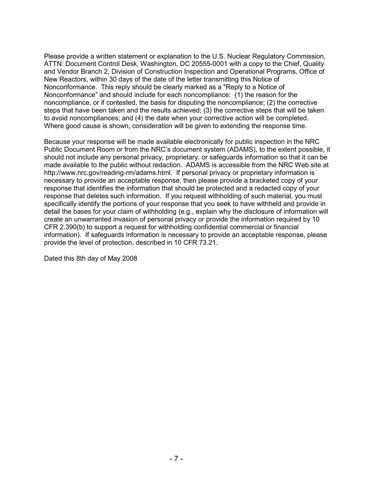Please provide a written statement or explanation to the U.S. Nuclear Regulatory Commission, ATTN: Document Control Desk, Washington, DC 20555-0001 with a copy to the Chief, Quality and Vendor Branch 2, Division of Construction Inspection and Operational Programs, Office of New Reactors, within 30 days of the date of the letter transmitting this Notice of Nonconformance. This reply should be clearly marked as a "Reply to a Notice of Nonconformance" and should include for each noncompliance: (1) the reason for the noncompliance, or if contested, the basis for disputing the noncompliance; (2) the corrective steps that have been taken and the results achieved; (3) the corrective steps that will be taken to avoid noncompliances; and (4) the date when your corrective action will be completed. Where good cause is shown, consideration will be given to extending the response time.

Because your response will be made available electronically for public inspection in the NRC Public Document Room or from the NRC's document system (ADAMS), to the extent possible, it should not include any personal privacy, proprietary, or safeguards information so that it can be made available to the public without redaction. ADAMS is accessible from the NRC Web site at http://www.nrc.gov/reading-rm/adams.html. If personal privacy or proprietary information is necessary to provide an acceptable response, then please provide a bracketed copy of your response that identifies the information that should be protected and a redacted copy of your response that deletes such information. If you request withholding of such material, you must specifically identify the portions of your response that you seek to have withheld and provide in detail the bases for your claim of withholding (e.g., explain why the disclosure of information will create an unwarranted invasion of personal privacy or provide the information required by 10 CFR 2.390(b) to support a request for withholding confidential commercial or financial information). If safeguards information is necessary to provide an acceptable response, please provide the level of protection, described in 10 CFR 73.21.

Dated this 8th day of May 2008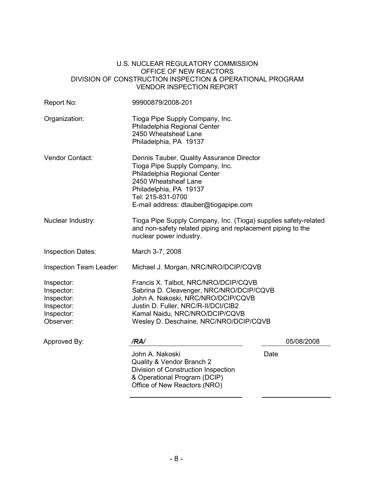### U.S. NUCLEAR REGULATORY COMMISSION OFFICE OF NEW REACTORS DIVISION OF CONSTRUCTION INSPECTION & OPERATIONAL PROGRAM VENDOR INSPECTION REPORT

| Report No:                                                                      | 99900879/2008-201                                                                                                                                                                                                                         |            |  |
|---------------------------------------------------------------------------------|-------------------------------------------------------------------------------------------------------------------------------------------------------------------------------------------------------------------------------------------|------------|--|
| Organization:                                                                   | Tioga Pipe Supply Company, Inc.<br>Philadelphia Regional Center<br>2450 Wheatsheaf Lane<br>Philadelphia, PA 19137                                                                                                                         |            |  |
| <b>Vendor Contact:</b>                                                          | Dennis Tauber, Quality Assurance Director<br>Tioga Pipe Supply Company, Inc.<br>Philadelphia Regional Center<br>2450 Wheatsheaf Lane<br>Philadelphia, PA 19137<br>Tel: 215-831-0700<br>E-mail address: dtauber@tiogapipe.com              |            |  |
| Nuclear Industry:                                                               | Tioga Pipe Supply Company, Inc. (Tioga) supplies safety-related<br>and non-safety related piping and replacement piping to the<br>nuclear power industry.                                                                                 |            |  |
| <b>Inspection Dates:</b>                                                        | March 3-7, 2008                                                                                                                                                                                                                           |            |  |
| Inspection Team Leader:                                                         | Michael J. Morgan, NRC/NRO/DCIP/CQVB                                                                                                                                                                                                      |            |  |
| Inspector:<br>Inspector:<br>Inspector:<br>Inspector:<br>Inspector:<br>Observer: | Francis X. Talbot, NRC/NRO/DCIP/CQVB<br>Sabrina D. Cleavenger, NRC/NRO/DCIP/CQVB<br>John A. Nakoski, NRC/NRO/DCIP/CQVB<br>Justin D. Fuller, NRC/R-II/DCI/CIB2<br>Kamal Naidu, NRC/NRO/DCIP/CQVB<br>Wesley D. Deschaine, NRC/NRO/DCIP/CQVB |            |  |
| Approved By:                                                                    | /RA/                                                                                                                                                                                                                                      | 05/08/2008 |  |
|                                                                                 | John A. Nakoski<br>Quality & Vendor Branch 2<br>Division of Construction Inspection<br>& Operational Program (DCIP)<br>Office of New Reactors (NRO)                                                                                       | Date       |  |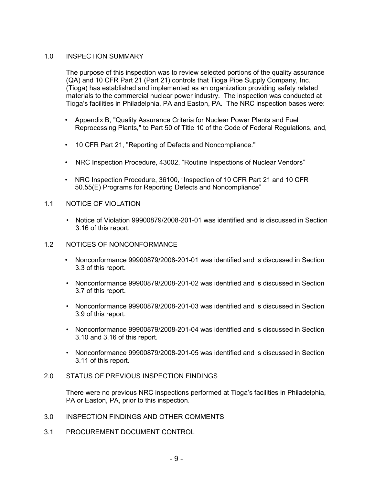# 1.0 INSPECTION SUMMARY

The purpose of this inspection was to review selected portions of the quality assurance (QA) and 10 CFR Part 21 (Part 21) controls that Tioga Pipe Supply Company, Inc. (Tioga) has established and implemented as an organization providing safety related materials to the commercial nuclear power industry. The inspection was conducted at Tioga's facilities in Philadelphia, PA and Easton, PA. The NRC inspection bases were:

- Appendix B, "Quality Assurance Criteria for Nuclear Power Plants and Fuel Reprocessing Plants," to Part 50 of Title 10 of the Code of Federal Regulations, and,
- 10 CFR Part 21, "Reporting of Defects and Noncompliance."
- NRC Inspection Procedure, 43002, "Routine Inspections of Nuclear Vendors"
- NRC Inspection Procedure, 36100, "Inspection of 10 CFR Part 21 and 10 CFR 50.55(E) Programs for Reporting Defects and Noncompliance"
- 1.1 NOTICE OF VIOLATION
	- Notice of Violation 99900879/2008-201-01 was identified and is discussed in Section 3.16 of this report.
- 1.2 NOTICES OF NONCONFORMANCE
	- Nonconformance 99900879/2008-201-01 was identified and is discussed in Section 3.3 of this report.
	- Nonconformance 99900879/2008-201-02 was identified and is discussed in Section 3.7 of this report.
	- Nonconformance 99900879/2008-201-03 was identified and is discussed in Section 3.9 of this report.
	- Nonconformance 99900879/2008-201-04 was identified and is discussed in Section 3.10 and 3.16 of this report.
	- Nonconformance 99900879/2008-201-05 was identified and is discussed in Section 3.11 of this report.
- 2.0 STATUS OF PREVIOUS INSPECTION FINDINGS

There were no previous NRC inspections performed at Tioga's facilities in Philadelphia, PA or Easton, PA, prior to this inspection.

- 3.0 INSPECTION FINDINGS AND OTHER COMMENTS
- 3.1 PROCUREMENT DOCUMENT CONTROL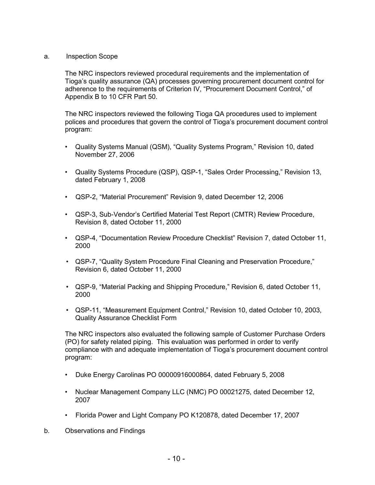### a. Inspection Scope

The NRC inspectors reviewed procedural requirements and the implementation of Tioga's quality assurance (QA) processes governing procurement document control for adherence to the requirements of Criterion IV, "Procurement Document Control," of Appendix B to 10 CFR Part 50.

The NRC inspectors reviewed the following Tioga QA procedures used to implement polices and procedures that govern the control of Tioga's procurement document control program:

- Quality Systems Manual (QSM), "Quality Systems Program," Revision 10, dated November 27, 2006
- Quality Systems Procedure (QSP), QSP-1, "Sales Order Processing," Revision 13, dated February 1, 2008
- QSP-2, "Material Procurement" Revision 9, dated December 12, 2006
- QSP-3, Sub-Vendor's Certified Material Test Report (CMTR) Review Procedure, Revision 8, dated October 11, 2000
- QSP-4, "Documentation Review Procedure Checklist" Revision 7, dated October 11, 2000
- QSP-7, "Quality System Procedure Final Cleaning and Preservation Procedure," Revision 6, dated October 11, 2000
- QSP-9, "Material Packing and Shipping Procedure," Revision 6, dated October 11, 2000
- QSP-11, "Measurement Equipment Control," Revision 10, dated October 10, 2003, Quality Assurance Checklist Form

The NRC inspectors also evaluated the following sample of Customer Purchase Orders (PO) for safety related piping. This evaluation was performed in order to verify compliance with and adequate implementation of Tioga's procurement document control program:

- Duke Energy Carolinas PO 00000916000864, dated February 5, 2008
- Nuclear Management Company LLC (NMC) PO 00021275, dated December 12, 2007
- Florida Power and Light Company PO K120878, dated December 17, 2007
- b. Observations and Findings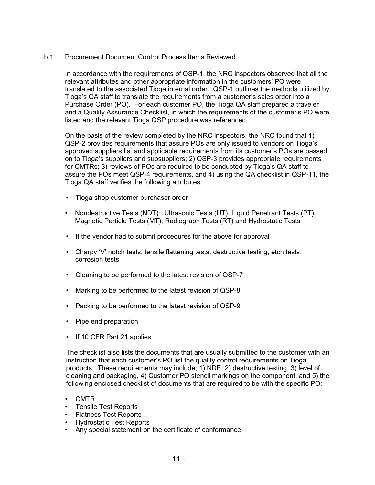# b.1 Procurement Document Control Process Items Reviewed

In accordance with the requirements of QSP-1, the NRC inspectors observed that all the relevant attributes and other appropriate information in the customers' PO were translated to the associated Tioga internal order. QSP-1 outlines the methods utilized by Tioga's QA staff to translate the requirements from a customer's sales order into a Purchase Order (PO). For each customer PO, the Tioga QA staff prepared a traveler and a Quality Assurance Checklist, in which the requirements of the customer's PO were listed and the relevant Tioga QSP procedure was referenced.

On the basis of the review completed by the NRC inspectors, the NRC found that 1) QSP-2 provides requirements that assure POs are only issued to vendors on Tioga's approved suppliers list and applicable requirements from its customer's POs are passed on to Tioga's suppliers and subsuppliers; 2) QSP-3 provides appropriate requirements for CMTRs; 3) reviews of POs are required to be conducted by Tioga's QA staff to assure the POs meet QSP-4 requirements, and 4) using the QA checklist in QSP-11, the Tioga QA staff verifies the following attributes:

- Tioga shop customer purchaser order
- Nondestructive Tests (NDT): Ultrasonic Tests (UT), Liquid Penetrant Tests (PT), Magnetic Particle Tests (MT), Radiograph Tests (RT) and Hydrostatic Tests
- If the vendor had to submit procedures for the above for approval
- Charpy 'V' notch tests, tensile flattening tests, destructive testing, etch tests, corrosion tests
- Cleaning to be performed to the latest revision of QSP-7
- Marking to be performed to the latest revision of QSP-8
- Packing to be performed to the latest revision of QSP-9
- Pipe end preparation
- If 10 CFR Part 21 applies

The checklist also lists the documents that are usually submitted to the customer with an instruction that each customer's PO list the quality control requirements on Tioga products. These requirements may include; 1) NDE, 2) destructive testing, 3) level of cleaning and packaging, 4) Customer PO stencil markings on the component, and 5) the following enclosed checklist of documents that are required to be with the specific PO:

- CMTR
- Tensile Test Reports
- Flatness Test Reports
- Hydrostatic Test Reports
- Any special statement on the certificate of conformance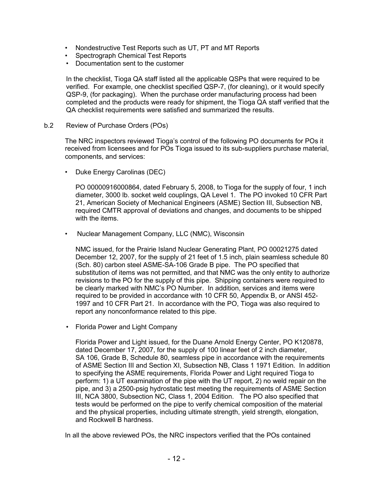- Nondestructive Test Reports such as UT, PT and MT Reports
- Spectrograph Chemical Test Reports
- Documentation sent to the customer

In the checklist, Tioga QA staff listed all the applicable QSPs that were required to be verified. For example, one checklist specified QSP-7, (for cleaning), or it would specify QSP-9, (for packaging). When the purchase order manufacturing process had been completed and the products were ready for shipment, the Tioga QA staff verified that the QA checklist requirements were satisfied and summarized the results.

b.2 Review of Purchase Orders (POs)

The NRC inspectors reviewed Tioga's control of the following PO documents for POs it received from licensees and for POs Tioga issued to its sub-suppliers purchase material, components, and services:

• Duke Energy Carolinas (DEC)

PO 00000916000864, dated February 5, 2008, to Tioga for the supply of four, 1 inch diameter, 3000 lb. socket weld couplings, QA Level 1. The PO invoked 10 CFR Part 21, American Society of Mechanical Engineers (ASME) Section III, Subsection NB, required CMTR approval of deviations and changes, and documents to be shipped with the items.

• Nuclear Management Company, LLC (NMC), Wisconsin

NMC issued, for the Prairie Island Nuclear Generating Plant, PO 00021275 dated December 12, 2007, for the supply of 21 feet of 1.5 inch, plain seamless schedule 80 (Sch. 80) carbon steel ASME-SA-106 Grade B pipe. The PO specified that substitution of items was not permitted, and that NMC was the only entity to authorize revisions to the PO for the supply of this pipe. Shipping containers were required to be clearly marked with NMC's PO Number. In addition, services and items were required to be provided in accordance with 10 CFR 50, Appendix B, or ANSI 452- 1997 and 10 CFR Part 21. In accordance with the PO, Tioga was also required to report any nonconformance related to this pipe.

• Florida Power and Light Company

Florida Power and Light issued, for the Duane Arnold Energy Center, PO K120878, dated December 17, 2007, for the supply of 100 linear feet of 2 inch diameter, SA 106, Grade B, Schedule 80, seamless pipe in accordance with the requirements of ASME Section III and Section XI, Subsection NB, Class 1 1971 Edition. In addition to specifying the ASME requirements, Florida Power and Light required Tioga to perform: 1) a UT examination of the pipe with the UT report, 2) no weld repair on the pipe, and 3) a 2500-psig hydrostatic test meeting the requirements of ASME Section III, NCA 3800, Subsection NC, Class 1, 2004 Edition. The PO also specified that tests would be performed on the pipe to verify chemical composition of the material and the physical properties, including ultimate strength, yield strength, elongation, and Rockwell B hardness.

In all the above reviewed POs, the NRC inspectors verified that the POs contained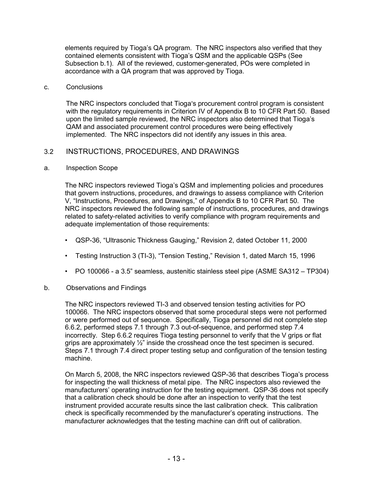elements required by Tioga's QA program. The NRC inspectors also verified that they contained elements consistent with Tioga's QSM and the applicable QSPs (See Subsection b.1). All of the reviewed, customer-generated, POs were completed in accordance with a QA program that was approved by Tioga.

### c. Conclusions

The NRC inspectors concluded that Tioga's procurement control program is consistent with the regulatory requirements in Criterion IV of Appendix B to 10 CFR Part 50. Based upon the limited sample reviewed, the NRC inspectors also determined that Tioga's QAM and associated procurement control procedures were being effectively implemented. The NRC inspectors did not identify any issues in this area.

# 3.2 INSTRUCTIONS, PROCEDURES, AND DRAWINGS

### a. Inspection Scope

The NRC inspectors reviewed Tioga's QSM and implementing policies and procedures that govern instructions, procedures, and drawings to assess compliance with Criterion V, "Instructions, Procedures, and Drawings," of Appendix B to 10 CFR Part 50. The NRC inspectors reviewed the following sample of instructions, procedures, and drawings related to safety-related activities to verify compliance with program requirements and adequate implementation of those requirements:

- QSP-36, "Ultrasonic Thickness Gauging," Revision 2, dated October 11, 2000
- Testing Instruction 3 (TI-3), "Tension Testing," Revision 1, dated March 15, 1996
- PO 100066 a 3.5" seamless, austenitic stainless steel pipe (ASME SA312 TP304)

# b. Observations and Findings

The NRC inspectors reviewed TI-3 and observed tension testing activities for PO 100066. The NRC inspectors observed that some procedural steps were not performed or were performed out of sequence. Specifically, Tioga personnel did not complete step 6.6.2, performed steps 7.1 through 7.3 out-of-sequence, and performed step 7.4 incorrectly. Step 6.6.2 requires Tioga testing personnel to verify that the V grips or flat grips are approximately  $\frac{1}{2}$ " inside the crosshead once the test specimen is secured. Steps 7.1 through 7.4 direct proper testing setup and configuration of the tension testing machine.

On March 5, 2008, the NRC inspectors reviewed QSP-36 that describes Tioga's process for inspecting the wall thickness of metal pipe. The NRC inspectors also reviewed the manufacturers' operating instruction for the testing equipment. QSP-36 does not specify that a calibration check should be done after an inspection to verify that the test instrument provided accurate results since the last calibration check. This calibration check is specifically recommended by the manufacturer's operating instructions. The manufacturer acknowledges that the testing machine can drift out of calibration.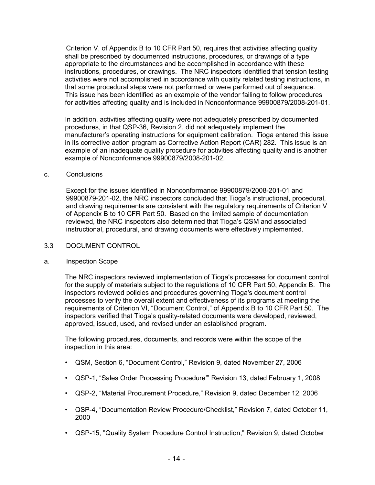Criterion V, of Appendix B to 10 CFR Part 50, requires that activities affecting quality shall be prescribed by documented instructions, procedures, or drawings of a type appropriate to the circumstances and be accomplished in accordance with these instructions, procedures, or drawings. The NRC inspectors identified that tension testing activities were not accomplished in accordance with quality related testing instructions, in that some procedural steps were not performed or were performed out of sequence. This issue has been identified as an example of the vendor failing to follow procedures for activities affecting quality and is included in Nonconformance 99900879/2008-201-01.

In addition, activities affecting quality were not adequately prescribed by documented procedures, in that QSP-36, Revision 2, did not adequately implement the manufacturer's operating instructions for equipment calibration. Tioga entered this issue in its corrective action program as Corrective Action Report (CAR) 282. This issue is an example of an inadequate quality procedure for activities affecting quality and is another example of Nonconformance 99900879/2008-201-02.

### c. Conclusions

Except for the issues identified in Nonconformance 99900879/2008-201-01 and 99900879-201-02, the NRC inspectors concluded that Tioga's instructional, procedural, and drawing requirements are consistent with the regulatory requirements of Criterion V of Appendix B to 10 CFR Part 50. Based on the limited sample of documentation reviewed, the NRC inspectors also determined that Tioga's QSM and associated instructional, procedural, and drawing documents were effectively implemented.

# 3.3 DOCUMENT CONTROL

#### a. Inspection Scope

The NRC inspectors reviewed implementation of Tioga's processes for document control for the supply of materials subject to the regulations of 10 CFR Part 50, Appendix B. The inspectors reviewed policies and procedures governing Tioga's document control processes to verify the overall extent and effectiveness of its programs at meeting the requirements of Criterion VI, "Document Control," of Appendix B to 10 CFR Part 50. The inspectors verified that Tioga's quality-related documents were developed, reviewed, approved, issued, used, and revised under an established program.

The following procedures, documents, and records were within the scope of the inspection in this area:

- QSM, Section 6, "Document Control," Revision 9, dated November 27, 2006
- QSP-1, "Sales Order Processing Procedure'" Revision 13, dated February 1, 2008
- QSP-2, "Material Procurement Procedure," Revision 9, dated December 12, 2006
- QSP-4, "Documentation Review Procedure/Checklist," Revision 7, dated October 11, 2000
- QSP-15, "Quality System Procedure Control Instruction," Revision 9, dated October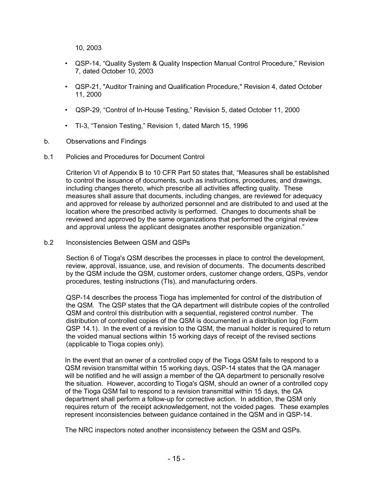10, 2003

- QSP-14, "Quality System & Quality Inspection Manual Control Procedure," Revision 7, dated October 10, 2003
- QSP-21, "Auditor Training and Qualification Procedure," Revision 4, dated October 11, 2000
- QSP-29, "Control of In-House Testing," Revision 5, dated October 11, 2000
- TI-3, "Tension Testing," Revision 1, dated March 15, 1996
- b. Observations and Findings
- b.1 Policies and Procedures for Document Control

Criterion VI of Appendix B to 10 CFR Part 50 states that, "Measures shall be established to control the issuance of documents, such as instructions, procedures, and drawings, including changes thereto, which prescribe all activities affecting quality. These measures shall assure that documents, including changes, are reviewed for adequacy and approved for release by authorized personnel and are distributed to and used at the location where the prescribed activity is performed. Changes to documents shall be reviewed and approved by the same organizations that performed the original review and approval unless the applicant designates another responsible organization."

b.2 Inconsistencies Between QSM and QSPs

Section 6 of Tioga's QSM describes the processes in place to control the development, review, approval, issuance, use, and revision of documents. The documents described by the QSM include the QSM, customer orders, customer change orders, QSPs, vendor procedures, testing instructions (TIs), and manufacturing orders.

QSP-14 describes the process Tioga has implemented for control of the distribution of the QSM. The QSP states that the QA department will distribute copies of the controlled QSM and control this distribution with a sequential, registered control number. The distribution of controlled copies of the QSM is documented in a distribution log (Form QSP 14.1). In the event of a revision to the QSM, the manual holder is required to return the voided manual sections within 15 working days of receipt of the revised sections (applicable to Tioga copies only).

In the event that an owner of a controlled copy of the Tioga QSM fails to respond to a QSM revision transmittal within 15 working days, QSP-14 states that the QA manager will be notified and he will assign a member of the QA department to personally resolve the situation. However, according to Tioga's QSM, should an owner of a controlled copy of the Tioga QSM fail to respond to a revision transmittal within 15 days, the QA department shall perform a follow-up for corrective action. In addition, the QSM only requires return of the receipt acknowledgement, not the voided pages. These examples represent inconsistencies between guidance contained in the QSM and in QSP-14.

The NRC inspectors noted another inconsistency between the QSM and QSPs.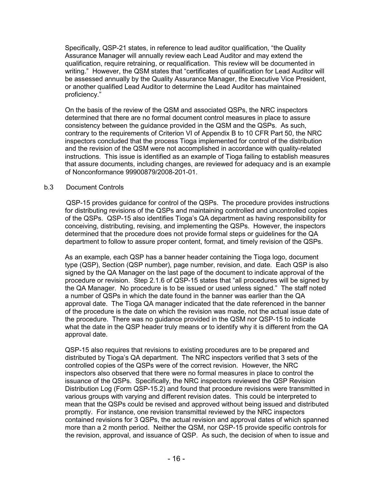Specifically, QSP-21 states, in reference to lead auditor qualification, "the Quality Assurance Manager will annually review each Lead Auditor and may extend the qualification, require retraining, or requalification. This review will be documented in writing." However, the QSM states that "certificates of qualification for Lead Auditor will be assessed annually by the Quality Assurance Manager, the Executive Vice President, or another qualified Lead Auditor to determine the Lead Auditor has maintained proficiency."

On the basis of the review of the QSM and associated QSPs, the NRC inspectors determined that there are no formal document control measures in place to assure consistency between the guidance provided in the QSM and the QSPs. As such, contrary to the requirements of Criterion VI of Appendix B to 10 CFR Part 50, the NRC inspectors concluded that the process Tioga implemented for control of the distribution and the revision of the QSM were not accomplished in accordance with quality-related instructions. This issue is identified as an example of Tioga failing to establish measures that assure documents, including changes, are reviewed for adequacy and is an example of Nonconformance 99900879/2008-201-01.

### b.3 Document Controls

 QSP-15 provides guidance for control of the QSPs. The procedure provides instructions for distributing revisions of the QSPs and maintaining controlled and uncontrolled copies of the QSPs. QSP-15 also identifies Tioga's QA department as having responsibility for conceiving, distributing, revising, and implementing the QSPs. However, the inspectors determined that the procedure does not provide formal steps or guidelines for the QA department to follow to assure proper content, format, and timely revision of the QSPs.

As an example, each QSP has a banner header containing the Tioga logo, document type (QSP), Section (QSP number), page number, revision, and date. Each QSP is also signed by the QA Manager on the last page of the document to indicate approval of the procedure or revision. Step 2.1.6 of QSP-15 states that "all procedures will be signed by the QA Manager. No procedure is to be issued or used unless signed." The staff noted a number of QSPs in which the date found in the banner was earlier than the QA approval date. The Tioga QA manager indicated that the date referenced in the banner of the procedure is the date on which the revision was made, not the actual issue date of the procedure. There was no guidance provided in the QSM nor QSP-15 to indicate what the date in the QSP header truly means or to identify why it is different from the QA approval date.

QSP-15 also requires that revisions to existing procedures are to be prepared and distributed by Tioga's QA department. The NRC inspectors verified that 3 sets of the controlled copies of the QSPs were of the correct revision. However, the NRC inspectors also observed that there were no formal measures in place to control the issuance of the QSPs. Specifically, the NRC inspectors reviewed the QSP Revision Distribution Log (Form QSP-15.2) and found that procedure revisions were transmitted in various groups with varying and different revision dates. This could be interpreted to mean that the QSPs could be revised and approved without being issued and distributed promptly. For instance, one revision transmittal reviewed by the NRC inspectors contained revisions for 3 QSPs, the actual revision and approval dates of which spanned more than a 2 month period. Neither the QSM, nor QSP-15 provide specific controls for the revision, approval, and issuance of QSP. As such, the decision of when to issue and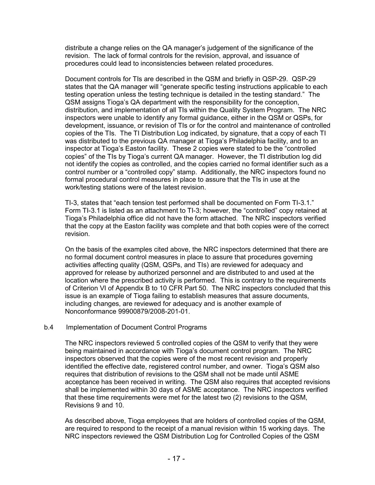distribute a change relies on the QA manager's judgement of the significance of the revision. The lack of formal controls for the revision, approval, and issuance of procedures could lead to inconsistencies between related procedures.

Document controls for TIs are described in the QSM and briefly in QSP-29. QSP-29 states that the QA manager will "generate specific testing instructions applicable to each testing operation unless the testing technique is detailed in the testing standard." The QSM assigns Tioga's QA department with the responsibility for the conception, distribution, and implementation of all TIs within the Quality System Program. The NRC inspectors were unable to identify any formal guidance, either in the QSM or QSPs, for development, issuance, or revision of TIs or for the control and maintenance of controlled copies of the TIs. The TI Distribution Log indicated, by signature, that a copy of each TI was distributed to the previous QA manager at Tioga's Philadelphia facility, and to an inspector at Tioga's Easton facility. These 2 copies were stated to be the "controlled copies" of the TIs by Tioga's current QA manager. However, the TI distribution log did not identify the copies as controlled, and the copies carried no formal identifier such as a control number or a "controlled copy" stamp. Additionally, the NRC inspectors found no formal procedural control measures in place to assure that the TIs in use at the work/testing stations were of the latest revision.

TI-3, states that "each tension test performed shall be documented on Form TI-3.1." Form TI-3.1 is listed as an attachment to TI-3; however, the "controlled" copy retained at Tioga's Philadelphia office did not have the form attached. The NRC inspectors verified that the copy at the Easton facility was complete and that both copies were of the correct revision.

On the basis of the examples cited above, the NRC inspectors determined that there are no formal document control measures in place to assure that procedures governing activities affecting quality (QSM, QSPs, and TIs) are reviewed for adequacy and approved for release by authorized personnel and are distributed to and used at the location where the prescribed activity is performed. This is contrary to the requirements of Criterion VI of Appendix B to 10 CFR Part 50. The NRC inspectors concluded that this issue is an example of Tioga failing to establish measures that assure documents, including changes, are reviewed for adequacy and is another example of Nonconformance 99900879/2008-201-01.

# b.4 Implementation of Document Control Programs

The NRC inspectors reviewed 5 controlled copies of the QSM to verify that they were being maintained in accordance with Tioga's document control program. The NRC inspectors observed that the copies were of the most recent revision and properly identified the effective date, registered control number, and owner. Tioga's QSM also requires that distribution of revisions to the QSM shall not be made until ASME acceptance has been received in writing. The QSM also requires that accepted revisions shall be implemented within 30 days of ASME acceptance. The NRC inspectors verified that these time requirements were met for the latest two (2) revisions to the QSM, Revisions 9 and 10.

As described above, Tioga employees that are holders of controlled copies of the QSM, are required to respond to the receipt of a manual revision within 15 working days. The NRC inspectors reviewed the QSM Distribution Log for Controlled Copies of the QSM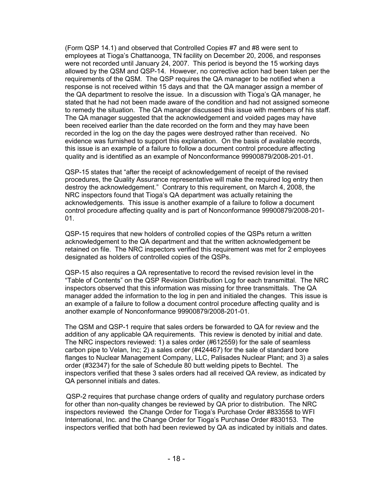(Form QSP 14.1) and observed that Controlled Copies #7 and #8 were sent to employees at Tioga's Chattanooga, TN facility on December 20, 2006, and responses were not recorded until January 24, 2007. This period is beyond the 15 working days allowed by the QSM and QSP-14. However, no corrective action had been taken per the requirements of the QSM. The QSP requires the QA manager to be notified when a response is not received within 15 days and that the QA manager assign a member of the QA department to resolve the issue. In a discussion with Tioga's QA manager, he stated that he had not been made aware of the condition and had not assigned someone to remedy the situation. The QA manager discussed this issue with members of his staff. The QA manager suggested that the acknowledgement and voided pages may have been received earlier than the date recorded on the form and they may have been recorded in the log on the day the pages were destroyed rather than received. No evidence was furnished to support this explanation. On the basis of available records, this issue is an example of a failure to follow a document control procedure affecting quality and is identified as an example of Nonconformance 99900879/2008-201-01.

QSP-15 states that "after the receipt of acknowledgement of receipt of the revised procedures, the Quality Assurance representative will make the required log entry then destroy the acknowledgement." Contrary to this requirement, on March 4, 2008, the NRC inspectors found that Tioga's QA department was actually retaining the acknowledgements. This issue is another example of a failure to follow a document control procedure affecting quality and is part of Nonconformance 99900879/2008-201- 01.

QSP-15 requires that new holders of controlled copies of the QSPs return a written acknowledgement to the QA department and that the written acknowledgement be retained on file. The NRC inspectors verified this requirement was met for 2 employees designated as holders of controlled copies of the QSPs.

QSP-15 also requires a QA representative to record the revised revision level in the "Table of Contents" on the QSP Revision Distribution Log for each transmittal. The NRC inspectors observed that this information was missing for three transmittals. The QA manager added the information to the log in pen and initialed the changes. This issue is an example of a failure to follow a document control procedure affecting quality and is another example of Nonconformance 99900879/2008-201-01.

The QSM and QSP-1 require that sales orders be forwarded to QA for review and the addition of any applicable QA requirements. This review is denoted by initial and date. The NRC inspectors reviewed: 1) a sales order (#612559) for the sale of seamless carbon pipe to Velan, Inc; 2) a sales order (#424467) for the sale of standard bore flanges to Nuclear Management Company, LLC, Palisades Nuclear Plant; and 3) a sales order (#32347) for the sale of Schedule 80 butt welding pipets to Bechtel. The inspectors verified that these 3 sales orders had all received QA review, as indicated by QA personnel initials and dates.

 QSP-2 requires that purchase change orders of quality and regulatory purchase orders for other than non-quality changes be reviewed by QA prior to distribution. The NRC inspectors reviewed the Change Order for Tioga's Purchase Order #833558 to WFI International, Inc. and the Change Order for Tioga's Purchase Order #830153. The inspectors verified that both had been reviewed by QA as indicated by initials and dates.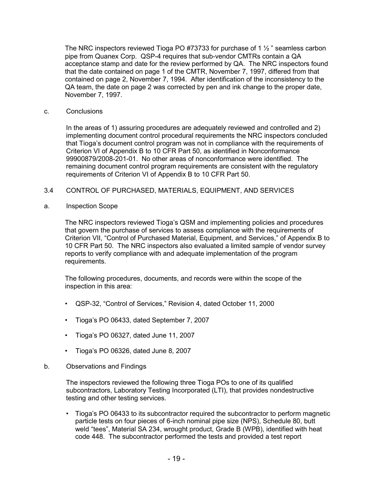The NRC inspectors reviewed Tioga PO #73733 for purchase of 1  $\frac{1}{2}$  " seamless carbon pipe from Quanex Corp. QSP-4 requires that sub-vendor CMTRs contain a QA acceptance stamp and date for the review performed by QA. The NRC inspectors found that the date contained on page 1 of the CMTR, November 7, 1997, differed from that contained on page 2, November 7, 1994. After identification of the inconsistency to the QA team, the date on page 2 was corrected by pen and ink change to the proper date, November 7, 1997.

c. Conclusions

In the areas of 1) assuring procedures are adequately reviewed and controlled and 2) implementing document control procedural requirements the NRC inspectors concluded that Tioga's document control program was not in compliance with the requirements of Criterion VI of Appendix B to 10 CFR Part 50, as identified in Nonconformance 99900879/2008-201-01. No other areas of nonconformance were identified. The remaining document control program requirements are consistent with the regulatory requirements of Criterion VI of Appendix B to 10 CFR Part 50.

- 3.4 CONTROL OF PURCHASED, MATERIALS, EQUIPMENT, AND SERVICES
- a. Inspection Scope

The NRC inspectors reviewed Tioga's QSM and implementing policies and procedures that govern the purchase of services to assess compliance with the requirements of Criterion VII, "Control of Purchased Material, Equipment, and Services," of Appendix B to 10 CFR Part 50. The NRC inspectors also evaluated a limited sample of vendor survey reports to verify compliance with and adequate implementation of the program requirements.

The following procedures, documents, and records were within the scope of the inspection in this area:

- QSP-32, "Control of Services," Revision 4, dated October 11, 2000
- Tioga's PO 06433, dated September 7, 2007
- Tioga's PO 06327, dated June 11, 2007
- Tioga's PO 06326, dated June 8, 2007
- b. Observations and Findings

The inspectors reviewed the following three Tioga POs to one of its qualified subcontractors, Laboratory Testing Incorporated (LTI), that provides nondestructive testing and other testing services.

• Tioga's PO 06433 to its subcontractor required the subcontractor to perform magnetic particle tests on four pieces of 6-inch nominal pipe size (NPS), Schedule 80, butt weld "tees", Material SA 234, wrought product, Grade B (WPB), identified with heat code 448. The subcontractor performed the tests and provided a test report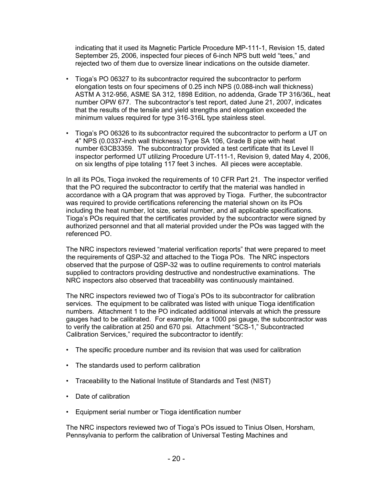indicating that it used its Magnetic Particle Procedure MP-111-1, Revision 15, dated September 25, 2006, inspected four pieces of 6-inch NPS butt weld "tees," and rejected two of them due to oversize linear indications on the outside diameter.

- Tioga's PO 06327 to its subcontractor required the subcontractor to perform elongation tests on four specimens of 0.25 inch NPS (0.088-inch wall thickness) ASTM A 312-956, ASME SA 312, 1898 Edition, no addenda, Grade TP 316/36L, heat number OPW 677. The subcontractor's test report, dated June 21, 2007, indicates that the results of the tensile and yield strengths and elongation exceeded the minimum values required for type 316-316L type stainless steel.
- Tioga's PO 06326 to its subcontractor required the subcontractor to perform a UT on 4" NPS (0.0337-inch wall thickness) Type SA 106, Grade B pipe with heat number 63CB3359. The subcontractor provided a test certificate that its Level II inspector performed UT utilizing Procedure UT-111-1, Revision 9, dated May 4, 2006, on six lengths of pipe totaling 117 feet 3 inches. All pieces were acceptable.

In all its POs, Tioga invoked the requirements of 10 CFR Part 21. The inspector verified that the PO required the subcontractor to certify that the material was handled in accordance with a QA program that was approved by Tioga. Further, the subcontractor was required to provide certifications referencing the material shown on its POs including the heat number, lot size, serial number, and all applicable specifications. Tioga's POs required that the certificates provided by the subcontractor were signed by authorized personnel and that all material provided under the POs was tagged with the referenced PO.

The NRC inspectors reviewed "material verification reports" that were prepared to meet the requirements of QSP-32 and attached to the Tioga POs. The NRC inspectors observed that the purpose of QSP-32 was to outline requirements to control materials supplied to contractors providing destructive and nondestructive examinations. The NRC inspectors also observed that traceability was continuously maintained.

The NRC inspectors reviewed two of Tioga's POs to its subcontractor for calibration services. The equipment to be calibrated was listed with unique Tioga identification numbers. Attachment 1 to the PO indicated additional intervals at which the pressure gauges had to be calibrated. For example, for a 1000 psi gauge, the subcontractor was to verify the calibration at 250 and 670 psi. Attachment "SCS-1," Subcontracted Calibration Services," required the subcontractor to identify:

- The specific procedure number and its revision that was used for calibration
- The standards used to perform calibration
- Traceability to the National Institute of Standards and Test (NIST)
- Date of calibration
- Equipment serial number or Tioga identification number

The NRC inspectors reviewed two of Tioga's POs issued to Tinius Olsen, Horsham, Pennsylvania to perform the calibration of Universal Testing Machines and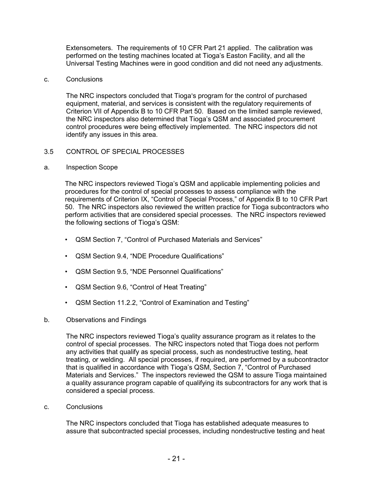Extensometers. The requirements of 10 CFR Part 21 applied. The calibration was performed on the testing machines located at Tioga's Easton Facility, and all the Universal Testing Machines were in good condition and did not need any adjustments.

### c. Conclusions

The NRC inspectors concluded that Tioga's program for the control of purchased equipment, material, and services is consistent with the regulatory requirements of Criterion VII of Appendix B to 10 CFR Part 50. Based on the limited sample reviewed, the NRC inspectors also determined that Tioga's QSM and associated procurement control procedures were being effectively implemented. The NRC inspectors did not identify any issues in this area.

# 3.5 CONTROL OF SPECIAL PROCESSES

# a. Inspection Scope

The NRC inspectors reviewed Tioga's QSM and applicable implementing policies and procedures for the control of special processes to assess compliance with the requirements of Criterion IX, "Control of Special Process," of Appendix B to 10 CFR Part 50. The NRC inspectors also reviewed the written practice for Tioga subcontractors who perform activities that are considered special processes. The NRC inspectors reviewed the following sections of Tioga's QSM:

- QSM Section 7, "Control of Purchased Materials and Services"
- QSM Section 9.4, "NDE Procedure Qualifications"
- QSM Section 9.5, "NDE Personnel Qualifications"
- QSM Section 9.6, "Control of Heat Treating"
- QSM Section 11.2.2, "Control of Examination and Testing"

# b. Observations and Findings

The NRC inspectors reviewed Tioga's quality assurance program as it relates to the control of special processes. The NRC inspectors noted that Tioga does not perform any activities that qualify as special process, such as nondestructive testing, heat treating, or welding. All special processes, if required, are performed by a subcontractor that is qualified in accordance with Tioga's QSM, Section 7, "Control of Purchased Materials and Services." The inspectors reviewed the QSM to assure Tioga maintained a quality assurance program capable of qualifying its subcontractors for any work that is considered a special process.

c. Conclusions

The NRC inspectors concluded that Tioga has established adequate measures to assure that subcontracted special processes, including nondestructive testing and heat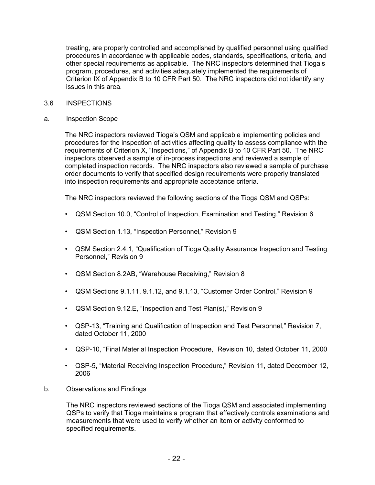treating, are properly controlled and accomplished by qualified personnel using qualified procedures in accordance with applicable codes, standards, specifications, criteria, and other special requirements as applicable. The NRC inspectors determined that Tioga's program, procedures, and activities adequately implemented the requirements of Criterion IX of Appendix B to 10 CFR Part 50. The NRC inspectors did not identify any issues in this area.

- 3.6 INSPECTIONS
- a. Inspection Scope

The NRC inspectors reviewed Tioga's QSM and applicable implementing policies and procedures for the inspection of activities affecting quality to assess compliance with the requirements of Criterion X, "Inspections," of Appendix B to 10 CFR Part 50. The NRC inspectors observed a sample of in-process inspections and reviewed a sample of completed inspection records. The NRC inspectors also reviewed a sample of purchase order documents to verify that specified design requirements were properly translated into inspection requirements and appropriate acceptance criteria.

The NRC inspectors reviewed the following sections of the Tioga QSM and QSPs:

- QSM Section 10.0, "Control of Inspection, Examination and Testing," Revision 6
- QSM Section 1.13, "Inspection Personnel," Revision 9
- QSM Section 2.4.1, "Qualification of Tioga Quality Assurance Inspection and Testing Personnel," Revision 9
- QSM Section 8.2AB, "Warehouse Receiving," Revision 8
- QSM Sections 9.1.11, 9.1.12, and 9.1.13, "Customer Order Control," Revision 9
- QSM Section 9.12.E, "Inspection and Test Plan(s)," Revision 9
- QSP-13, "Training and Qualification of Inspection and Test Personnel," Revision 7, dated October 11, 2000
- QSP-10, "Final Material Inspection Procedure," Revision 10, dated October 11, 2000
- QSP-5, "Material Receiving Inspection Procedure," Revision 11, dated December 12, 2006
- b. Observations and Findings

The NRC inspectors reviewed sections of the Tioga QSM and associated implementing QSPs to verify that Tioga maintains a program that effectively controls examinations and measurements that were used to verify whether an item or activity conformed to specified requirements.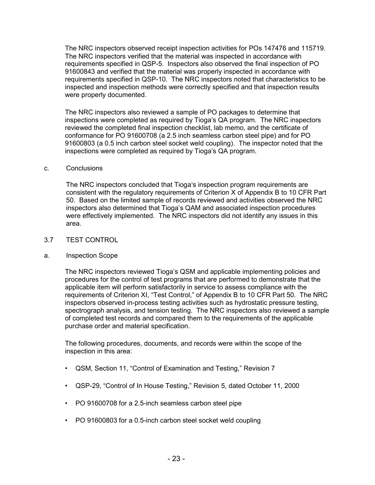The NRC inspectors observed receipt inspection activities for POs 147476 and 115719. The NRC inspectors verified that the material was inspected in accordance with requirements specified in QSP-5. Inspectors also observed the final inspection of PO 91600843 and verified that the material was properly inspected in accordance with requirements specified in QSP-10. The NRC inspectors noted that characteristics to be inspected and inspection methods were correctly specified and that inspection results were properly documented.

The NRC inspectors also reviewed a sample of PO packages to determine that inspections were completed as required by Tioga's QA program. The NRC inspectors reviewed the completed final inspection checklist, lab memo, and the certificate of conformance for PO 91600708 (a 2.5 inch seamless carbon steel pipe) and for PO 91600803 (a 0.5 inch carbon steel socket weld coupling). The inspector noted that the inspections were completed as required by Tioga's QA program.

#### c. Conclusions

The NRC inspectors concluded that Tioga's inspection program requirements are consistent with the regulatory requirements of Criterion X of Appendix B to 10 CFR Part 50. Based on the limited sample of records reviewed and activities observed the NRC inspectors also determined that Tioga's QAM and associated inspection procedures were effectively implemented. The NRC inspectors did not identify any issues in this area.

# 3.7 TEST CONTROL

# a. Inspection Scope

The NRC inspectors reviewed Tioga's QSM and applicable implementing policies and procedures for the control of test programs that are performed to demonstrate that the applicable item will perform satisfactorily in service to assess compliance with the requirements of Criterion XI, "Test Control," of Appendix B to 10 CFR Part 50. The NRC inspectors observed in-process testing activities such as hydrostatic pressure testing, spectrograph analysis, and tension testing. The NRC inspectors also reviewed a sample of completed test records and compared them to the requirements of the applicable purchase order and material specification.

The following procedures, documents, and records were within the scope of the inspection in this area:

- QSM, Section 11, "Control of Examination and Testing," Revision 7
- QSP-29, "Control of In House Testing," Revision 5, dated October 11, 2000
- PO 91600708 for a 2.5-inch seamless carbon steel pipe
- PO 91600803 for a 0.5-inch carbon steel socket weld coupling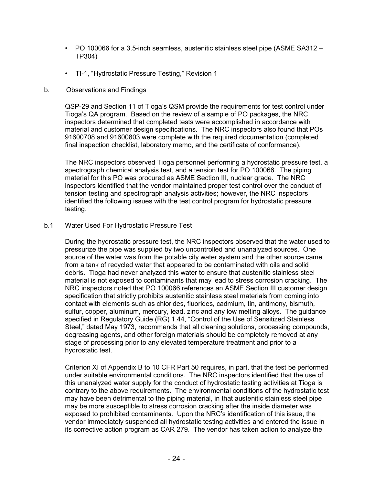- PO 100066 for a 3.5-inch seamless, austenitic stainless steel pipe (ASME SA312 TP304)
- TI-1, "Hydrostatic Pressure Testing," Revision 1
- b. Observations and Findings

QSP-29 and Section 11 of Tioga's QSM provide the requirements for test control under Tioga's QA program. Based on the review of a sample of PO packages, the NRC inspectors determined that completed tests were accomplished in accordance with material and customer design specifications. The NRC inspectors also found that POs 91600708 and 91600803 were complete with the required documentation (completed final inspection checklist, laboratory memo, and the certificate of conformance).

The NRC inspectors observed Tioga personnel performing a hydrostatic pressure test, a spectrograph chemical analysis test, and a tension test for PO 100066. The piping material for this PO was procured as ASME Section III, nuclear grade. The NRC inspectors identified that the vendor maintained proper test control over the conduct of tension testing and spectrograph analysis activities; however, the NRC inspectors identified the following issues with the test control program for hydrostatic pressure testing.

b.1 Water Used For Hydrostatic Pressure Test

During the hydrostatic pressure test, the NRC inspectors observed that the water used to pressurize the pipe was supplied by two uncontrolled and unanalyzed sources. One source of the water was from the potable city water system and the other source came from a tank of recycled water that appeared to be contaminated with oils and solid debris. Tioga had never analyzed this water to ensure that austenitic stainless steel material is not exposed to contaminants that may lead to stress corrosion cracking. The NRC inspectors noted that PO 100066 references an ASME Section III customer design specification that strictly prohibits austenitic stainless steel materials from coming into contact with elements such as chlorides, fluorides, cadmium, tin, antimony, bismuth, sulfur, copper, aluminum, mercury, lead, zinc and any low melting alloys. The guidance specified in Regulatory Guide (RG) 1.44, "Control of the Use of Sensitized Stainless Steel," dated May 1973, recommends that all cleaning solutions, processing compounds, degreasing agents, and other foreign materials should be completely removed at any stage of processing prior to any elevated temperature treatment and prior to a hydrostatic test.

Criterion XI of Appendix B to 10 CFR Part 50 requires, in part, that the test be performed under suitable environmental conditions. The NRC inspectors identified that the use of this unanalyzed water supply for the conduct of hydrostatic testing activities at Tioga is contrary to the above requirements. The environmental conditions of the hydrostatic test may have been detrimental to the piping material, in that austenitic stainless steel pipe may be more susceptible to stress corrosion cracking after the inside diameter was exposed to prohibited contaminants. Upon the NRC's identification of this issue, the vendor immediately suspended all hydrostatic testing activities and entered the issue in its corrective action program as CAR 279. The vendor has taken action to analyze the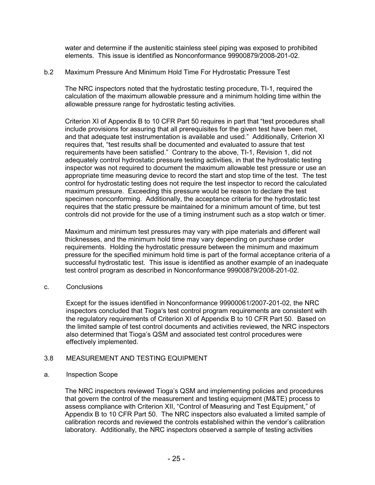water and determine if the austenitic stainless steel piping was exposed to prohibited elements. This issue is identified as Nonconformance 99900879/2008-201-02.

### b.2 Maximum Pressure And Minimum Hold Time For Hydrostatic Pressure Test

The NRC inspectors noted that the hydrostatic testing procedure, TI-1, required the calculation of the maximum allowable pressure and a minimum holding time within the allowable pressure range for hydrostatic testing activities.

Criterion XI of Appendix B to 10 CFR Part 50 requires in part that "test procedures shall include provisions for assuring that all prerequisites for the given test have been met, and that adequate test instrumentation is available and used." Additionally, Criterion XI requires that, "test results shall be documented and evaluated to assure that test requirements have been satisfied." Contrary to the above, TI-1, Revision 1, did not adequately control hydrostatic pressure testing activities, in that the hydrostatic testing inspector was not required to document the maximum allowable test pressure or use an appropriate time measuring device to record the start and stop time of the test. The test control for hydrostatic testing does not require the test inspector to record the calculated maximum pressure. Exceeding this pressure would be reason to declare the test specimen nonconforming. Additionally, the acceptance criteria for the hydrostatic test requires that the static pressure be maintained for a minimum amount of time, but test controls did not provide for the use of a timing instrument such as a stop watch or timer.

Maximum and minimum test pressures may vary with pipe materials and different wall thicknesses, and the minimum hold time may vary depending on purchase order requirements. Holding the hydrostatic pressure between the minimum and maximum pressure for the specified minimum hold time is part of the formal acceptance criteria of a successful hydrostatic test. This issue is identified as another example of an inadequate test control program as described in Nonconformance 99900879/2008-201-02.

#### c. Conclusions

Except for the issues identified in Nonconformance 99900061/2007-201-02, the NRC inspectors concluded that Tioga's test control program requirements are consistent with the regulatory requirements of Criterion XI of Appendix B to 10 CFR Part 50. Based on the limited sample of test control documents and activities reviewed, the NRC inspectors also determined that Tioga's QSM and associated test control procedures were effectively implemented.

# 3.8 MEASUREMENT AND TESTING EQUIPMENT

#### a. Inspection Scope

The NRC inspectors reviewed Tioga's QSM and implementing policies and procedures that govern the control of the measurement and testing equipment (M&TE) process to assess compliance with Criterion XII, "Control of Measuring and Test Equipment," of Appendix B to 10 CFR Part 50. The NRC inspectors also evaluated a limited sample of calibration records and reviewed the controls established within the vendor's calibration laboratory. Additionally, the NRC inspectors observed a sample of testing activities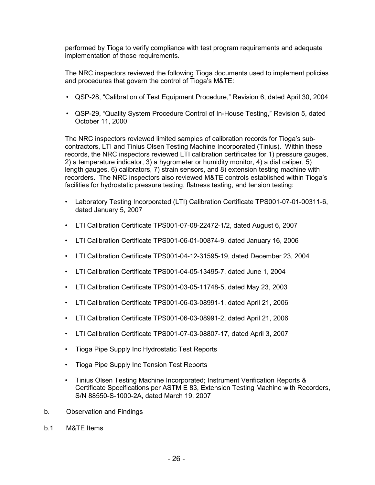performed by Tioga to verify compliance with test program requirements and adequate implementation of those requirements.

The NRC inspectors reviewed the following Tioga documents used to implement policies and procedures that govern the control of Tioga's M&TE:

- QSP-28, "Calibration of Test Equipment Procedure," Revision 6, dated April 30, 2004
- QSP-29, "Quality System Procedure Control of In-House Testing," Revision 5, dated October 11, 2000

The NRC inspectors reviewed limited samples of calibration records for Tioga's subcontractors, LTI and Tinius Olsen Testing Machine Incorporated (Tinius). Within these records, the NRC inspectors reviewed LTI calibration certificates for 1) pressure gauges, 2) a temperature indicator, 3) a hygrometer or humidity monitor, 4) a dial caliper, 5) length gauges, 6) calibrators, 7) strain sensors, and 8) extension testing machine with recorders. The NRC inspectors also reviewed M&TE controls established within Tioga's facilities for hydrostatic pressure testing, flatness testing, and tension testing:

- Laboratory Testing Incorporated (LTI) Calibration Certificate TPS001-07-01-00311-6, dated January 5, 2007
- LTI Calibration Certificate TPS001-07-08-22472-1/2, dated August 6, 2007
- LTI Calibration Certificate TPS001-06-01-00874-9, dated January 16, 2006
- LTI Calibration Certificate TPS001-04-12-31595-19, dated December 23, 2004
- LTI Calibration Certificate TPS001-04-05-13495-7, dated June 1, 2004
- LTI Calibration Certificate TPS001-03-05-11748-5, dated May 23, 2003
- LTI Calibration Certificate TPS001-06-03-08991-1, dated April 21, 2006
- LTI Calibration Certificate TPS001-06-03-08991-2, dated April 21, 2006
- LTI Calibration Certificate TPS001-07-03-08807-17, dated April 3, 2007
- Tioga Pipe Supply Inc Hydrostatic Test Reports
- Tioga Pipe Supply Inc Tension Test Reports
- Tinius Olsen Testing Machine Incorporated; Instrument Verification Reports & Certificate Specifications per ASTM E 83, Extension Testing Machine with Recorders, S/N 88550-S-1000-2A, dated March 19, 2007
- b. Observation and Findings
- b.1 M&TE Items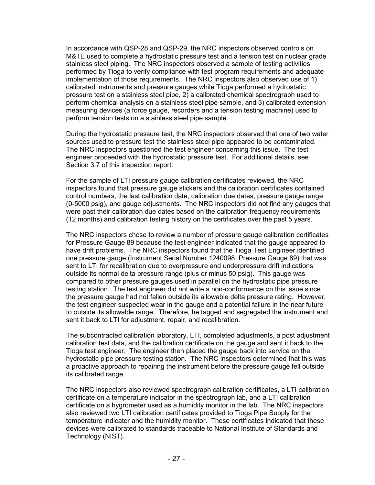In accordance with QSP-28 and QSP-29, the NRC inspectors observed controls on M&TE used to complete a hydrostatic pressure test and a tension test on nuclear grade stainless steel piping. The NRC inspectors observed a sample of testing activities performed by Tioga to verify compliance with test program requirements and adequate implementation of those requirements. The NRC inspectors also observed use of 1) calibrated instruments and pressure gauges while Tioga performed a hydrostatic pressure test on a stainless steel pipe, 2) a calibrated chemical spectrograph used to perform chemical analysis on a stainless steel pipe sample, and 3) calibrated extension measuring devices (a force gauge, recorders and a tension testing machine) used to perform tension tests on a stainless steel pipe sample.

During the hydrostatic pressure test, the NRC inspectors observed that one of two water sources used to pressure test the stainless steel pipe appeared to be contaminated. The NRC inspectors questioned the test engineer concerning this issue. The test engineer proceeded with the hydrostatic pressure test. For additional details, see Section 3.7 of this inspection report.

For the sample of LTI pressure gauge calibration certificates reviewed, the NRC inspectors found that pressure gauge stickers and the calibration certificates contained control numbers, the last calibration date, calibration due dates, pressure gauge range (0-5000 psig), and gauge adjustments. The NRC inspectors did not find any gauges that were past their calibration due dates based on the calibration frequency requirements (12 months) and calibration testing history on the certificates over the past 5 years.

The NRC inspectors chose to review a number of pressure gauge calibration certificates for Pressure Gauge 89 because the test engineer indicated that the gauge appeared to have drift problems. The NRC inspectors found that the Tioga Test Engineer identified one pressure gauge (Instrument Serial Number 1240098, Pressure Gauge 89) that was sent to LTI for recalibration due to overpressure and underpressure drift indications outside its normal delta pressure range (plus or minus 50 psig). This gauge was compared to other pressure gauges used in parallel on the hydrostatic pipe pressure testing station. The test engineer did not write a non-conformance on this issue since the pressure gauge had not fallen outside its allowable delta pressure rating. However, the test engineer suspected wear in the gauge and a potential failure in the near future to outside its allowable range. Therefore, he tagged and segregated the instrument and sent it back to LTI for adjustment, repair, and recalibration.

The subcontracted calibration laboratory, LTI, completed adjustments, a post adjustment calibration test data, and the calibration certificate on the gauge and sent it back to the Tioga test engineer. The engineer then placed the gauge back into service on the hydrostatic pipe pressure testing station. The NRC inspectors determined that this was a proactive approach to repairing the instrument before the pressure gauge fell outside its calibrated range.

The NRC inspectors also reviewed spectrograph calibration certificates, a LTI calibration certificate on a temperature indicator in the spectrograph lab, and a LTI calibration certificate on a hygrometer used as a humidity monitor in the lab. The NRC inspectors also reviewed two LTI calibration certificates provided to Tioga Pipe Supply for the temperature indicator and the humidity monitor. These certificates indicated that these devices were calibrated to standards traceable to National Institute of Standards and Technology (NIST).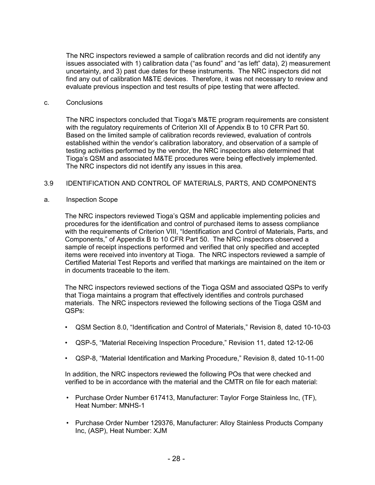The NRC inspectors reviewed a sample of calibration records and did not identify any issues associated with 1) calibration data ("as found" and "as left" data), 2) measurement uncertainty, and 3) past due dates for these instruments. The NRC inspectors did not find any out of calibration M&TE devices. Therefore, it was not necessary to review and evaluate previous inspection and test results of pipe testing that were affected.

#### c. Conclusions

The NRC inspectors concluded that Tioga's M&TE program requirements are consistent with the regulatory requirements of Criterion XII of Appendix B to 10 CFR Part 50. Based on the limited sample of calibration records reviewed, evaluation of controls established within the vendor's calibration laboratory, and observation of a sample of testing activities performed by the vendor, the NRC inspectors also determined that Tioga's QSM and associated M&TE procedures were being effectively implemented. The NRC inspectors did not identify any issues in this area.

### 3.9 IDENTIFICATION AND CONTROL OF MATERIALS, PARTS, AND COMPONENTS

### a. Inspection Scope

The NRC inspectors reviewed Tioga's QSM and applicable implementing policies and procedures for the identification and control of purchased items to assess compliance with the requirements of Criterion VIII, "Identification and Control of Materials, Parts, and Components," of Appendix B to 10 CFR Part 50. The NRC inspectors observed a sample of receipt inspections performed and verified that only specified and accepted items were received into inventory at Tioga. The NRC inspectors reviewed a sample of Certified Material Test Reports and verified that markings are maintained on the item or in documents traceable to the item.

The NRC inspectors reviewed sections of the Tioga QSM and associated QSPs to verify that Tioga maintains a program that effectively identifies and controls purchased materials. The NRC inspectors reviewed the following sections of the Tioga QSM and QSPs:

- QSM Section 8.0, "Identification and Control of Materials," Revision 8, dated 10-10-03
- QSP-5, "Material Receiving Inspection Procedure," Revision 11, dated 12-12-06
- QSP-8, "Material Identification and Marking Procedure," Revision 8, dated 10-11-00

In addition, the NRC inspectors reviewed the following POs that were checked and verified to be in accordance with the material and the CMTR on file for each material:

- Purchase Order Number 617413, Manufacturer: Taylor Forge Stainless Inc, (TF), Heat Number: MNHS-1
- Purchase Order Number 129376, Manufacturer: Alloy Stainless Products Company Inc, (ASP), Heat Number: XJM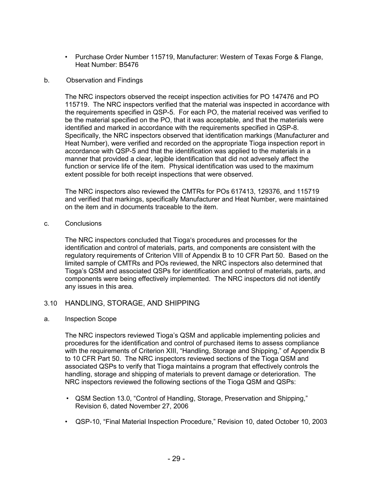• Purchase Order Number 115719, Manufacturer: Western of Texas Forge & Flange, Heat Number: B5476

### b. Observation and Findings

The NRC inspectors observed the receipt inspection activities for PO 147476 and PO 115719. The NRC inspectors verified that the material was inspected in accordance with the requirements specified in QSP-5. For each PO, the material received was verified to be the material specified on the PO, that it was acceptable, and that the materials were identified and marked in accordance with the requirements specified in QSP-8. Specifically, the NRC inspectors observed that identification markings (Manufacturer and Heat Number), were verified and recorded on the appropriate Tioga inspection report in accordance with QSP-5 and that the identification was applied to the materials in a manner that provided a clear, legible identification that did not adversely affect the function or service life of the item. Physical identification was used to the maximum extent possible for both receipt inspections that were observed.

The NRC inspectors also reviewed the CMTRs for POs 617413, 129376, and 115719 and verified that markings, specifically Manufacturer and Heat Number, were maintained on the item and in documents traceable to the item.

### c. Conclusions

The NRC inspectors concluded that Tioga's procedures and processes for the identification and control of materials, parts, and components are consistent with the regulatory requirements of Criterion VIII of Appendix B to 10 CFR Part 50. Based on the limited sample of CMTRs and POs reviewed, the NRC inspectors also determined that Tioga's QSM and associated QSPs for identification and control of materials, parts, and components were being effectively implemented. The NRC inspectors did not identify any issues in this area.

# 3.10 HANDLING, STORAGE, AND SHIPPING

#### a. Inspection Scope

The NRC inspectors reviewed Tioga's QSM and applicable implementing policies and procedures for the identification and control of purchased items to assess compliance with the requirements of Criterion XIII, "Handling, Storage and Shipping," of Appendix B to 10 CFR Part 50. The NRC inspectors reviewed sections of the Tioga QSM and associated QSPs to verify that Tioga maintains a program that effectively controls the handling, storage and shipping of materials to prevent damage or deterioration. The NRC inspectors reviewed the following sections of the Tioga QSM and QSPs:

- QSM Section 13.0, "Control of Handling, Storage, Preservation and Shipping," Revision 6, dated November 27, 2006
- QSP-10, "Final Material Inspection Procedure," Revision 10, dated October 10, 2003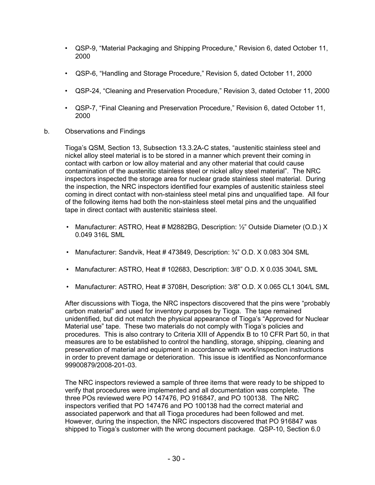- QSP-9, "Material Packaging and Shipping Procedure," Revision 6, dated October 11, 2000
- QSP-6, "Handling and Storage Procedure," Revision 5, dated October 11, 2000
- QSP-24, "Cleaning and Preservation Procedure," Revision 3, dated October 11, 2000
- QSP-7, "Final Cleaning and Preservation Procedure," Revision 6, dated October 11, 2000
- b. Observations and Findings

Tioga's QSM, Section 13, Subsection 13.3.2A-C states, "austenitic stainless steel and nickel alloy steel material is to be stored in a manner which prevent their coming in contact with carbon or low alloy material and any other material that could cause contamination of the austenitic stainless steel or nickel alloy steel material". The NRC inspectors inspected the storage area for nuclear grade stainless steel material. During the inspection, the NRC inspectors identified four examples of austenitic stainless steel coming in direct contact with non-stainless steel metal pins and unqualified tape. All four of the following items had both the non-stainless steel metal pins and the unqualified tape in direct contact with austenitic stainless steel.

- Manufacturer: ASTRO, Heat # M2882BG, Description:  $\frac{1}{2}$ " Outside Diameter (O.D.) X 0.049 316L SML
- Manufacturer: Sandvik, Heat # 473849, Description: 3<sup> $\chi$ </sup>" O.D. X 0.083 304 SML
- Manufacturer: ASTRO, Heat # 102683, Description: 3/8" O.D. X 0.035 304/L SML
- Manufacturer: ASTRO, Heat # 3708H, Description: 3/8" O.D. X 0.065 CL1 304/L SML

After discussions with Tioga, the NRC inspectors discovered that the pins were "probably carbon material" and used for inventory purposes by Tioga. The tape remained unidentified, but did not match the physical appearance of Tioga's "Approved for Nuclear Material use" tape. These two materials do not comply with Tioga's policies and procedures. This is also contrary to Criteria XIII of Appendix B to 10 CFR Part 50, in that measures are to be established to control the handling, storage, shipping, cleaning and preservation of material and equipment in accordance with work/inspection instructions in order to prevent damage or deterioration. This issue is identified as Nonconformance 99900879/2008-201-03.

The NRC inspectors reviewed a sample of three items that were ready to be shipped to verify that procedures were implemented and all documentation was complete. The three POs reviewed were PO 147476, PO 916847, and PO 100138. The NRC inspectors verified that PO 147476 and PO 100138 had the correct material and associated paperwork and that all Tioga procedures had been followed and met. However, during the inspection, the NRC inspectors discovered that PO 916847 was shipped to Tioga's customer with the wrong document package. QSP-10, Section 6.0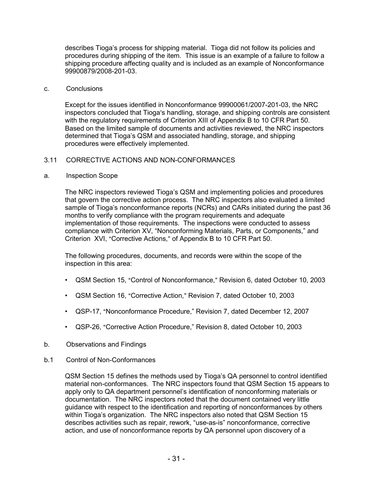describes Tioga's process for shipping material. Tioga did not follow its policies and procedures during shipping of the item. This issue is an example of a failure to follow a shipping procedure affecting quality and is included as an example of Nonconformance 99900879/2008-201-03.

### c. Conclusions

Except for the issues identified in Nonconformance 99900061/2007-201-03, the NRC inspectors concluded that Tioga's handling, storage, and shipping controls are consistent with the regulatory requirements of Criterion XIII of Appendix B to 10 CFR Part 50. Based on the limited sample of documents and activities reviewed, the NRC inspectors determined that Tioga's QSM and associated handling, storage, and shipping procedures were effectively implemented.

# 3.11 CORRECTIVE ACTIONS AND NON-CONFORMANCES

### a. Inspection Scope

The NRC inspectors reviewed Tioga's QSM and implementing policies and procedures that govern the corrective action process. The NRC inspectors also evaluated a limited sample of Tioga's nonconformance reports (NCRs) and CARs initiated during the past 36 months to verify compliance with the program requirements and adequate implementation of those requirements. The inspections were conducted to assess compliance with Criterion XV, "Nonconforming Materials, Parts, or Components," and Criterion XVI, "Corrective Actions," of Appendix B to 10 CFR Part 50.

The following procedures, documents, and records were within the scope of the inspection in this area:

- QSM Section 15, "Control of Nonconformance," Revision 6, dated October 10, 2003
- QSM Section 16, "Corrective Action," Revision 7, dated October 10, 2003
- QSP-17, "Nonconformance Procedure," Revision 7, dated December 12, 2007
- QSP-26, "Corrective Action Procedure," Revision 8, dated October 10, 2003
- b. Observations and Findings
- b.1 Control of Non-Conformances

QSM Section 15 defines the methods used by Tioga's QA personnel to control identified material non-conformances. The NRC inspectors found that QSM Section 15 appears to apply only to QA department personnel's identification of nonconforming materials or documentation. The NRC inspectors noted that the document contained very little guidance with respect to the identification and reporting of nonconformances by others within Tioga's organization. The NRC inspectors also noted that QSM Section 15 describes activities such as repair, rework, "use-as-is" nonconformance, corrective action, and use of nonconformance reports by QA personnel upon discovery of a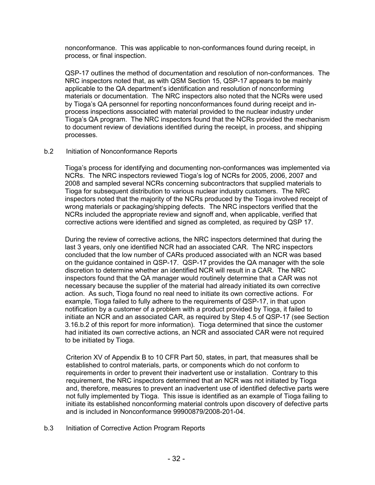nonconformance. This was applicable to non-conformances found during receipt, in process, or final inspection.

QSP-17 outlines the method of documentation and resolution of non-conformances. The NRC inspectors noted that, as with QSM Section 15, QSP-17 appears to be mainly applicable to the QA department's identification and resolution of nonconforming materials or documentation. The NRC inspectors also noted that the NCRs were used by Tioga's QA personnel for reporting nonconformances found during receipt and inprocess inspections associated with material provided to the nuclear industry under Tioga's QA program. The NRC inspectors found that the NCRs provided the mechanism to document review of deviations identified during the receipt, in process, and shipping processes.

### b.2 Initiation of Nonconformance Reports

Tioga's process for identifying and documenting non-conformances was implemented via NCRs. The NRC inspectors reviewed Tioga's log of NCRs for 2005, 2006, 2007 and 2008 and sampled several NCRs concerning subcontractors that supplied materials to Tioga for subsequent distribution to various nuclear industry customers. The NRC inspectors noted that the majority of the NCRs produced by the Tioga involved receipt of wrong materials or packaging/shipping defects. The NRC inspectors verified that the NCRs included the appropriate review and signoff and, when applicable, verified that corrective actions were identified and signed as completed, as required by QSP 17.

During the review of corrective actions, the NRC inspectors determined that during the last 3 years, only one identified NCR had an associated CAR. The NRC inspectors concluded that the low number of CARs produced associated with an NCR was based on the guidance contained in QSP-17. QSP-17 provides the QA manager with the sole discretion to determine whether an identified NCR will result in a CAR. The NRC inspectors found that the QA manager would routinely determine that a CAR was not necessary because the supplier of the material had already initiated its own corrective action. As such, Tioga found no real need to initiate its own corrective actions. For example, Tioga failed to fully adhere to the requirements of QSP-17, in that upon notification by a customer of a problem with a product provided by Tioga, it failed to initiate an NCR and an associated CAR, as required by Step 4.5 of QSP-17 (see Section 3.16.b.2 of this report for more information). Tioga determined that since the customer had initiated its own corrective actions, an NCR and associated CAR were not required to be initiated by Tioga.

Criterion XV of Appendix B to 10 CFR Part 50, states, in part, that measures shall be established to control materials, parts, or components which do not conform to requirements in order to prevent their inadvertent use or installation. Contrary to this requirement, the NRC inspectors determined that an NCR was not initiated by Tioga and, therefore, measures to prevent an inadvertent use of identified defective parts were not fully implemented by Tioga. This issue is identified as an example of Tioga failing to initiate its established nonconforming material controls upon discovery of defective parts and is included in Nonconformance 99900879/2008-201-04.

b.3 Initiation of Corrective Action Program Reports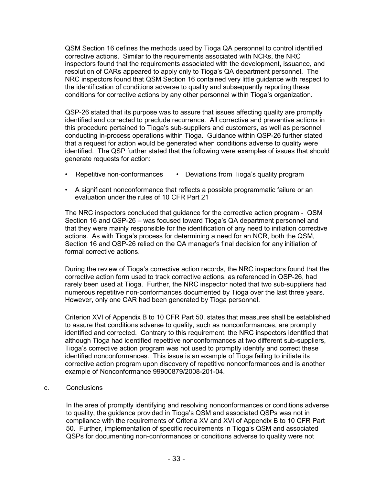QSM Section 16 defines the methods used by Tioga QA personnel to control identified corrective actions. Similar to the requirements associated with NCRs, the NRC inspectors found that the requirements associated with the development, issuance, and resolution of CARs appeared to apply only to Tioga's QA department personnel. The NRC inspectors found that QSM Section 16 contained very little guidance with respect to the identification of conditions adverse to quality and subsequently reporting these conditions for corrective actions by any other personnel within Tioga's organization.

QSP-26 stated that its purpose was to assure that issues affecting quality are promptly identified and corrected to preclude recurrence. All corrective and preventive actions in this procedure pertained to Tioga's sub-suppliers and customers, as well as personnel conducting in-process operations within Tioga. Guidance within QSP-26 further stated that a request for action would be generated when conditions adverse to quality were identified. The QSP further stated that the following were examples of issues that should generate requests for action:

- Repetitive non-conformances Deviations from Tioga's quality program
- A significant nonconformance that reflects a possible programmatic failure or an evaluation under the rules of 10 CFR Part 21

The NRC inspectors concluded that guidance for the corrective action program - QSM Section 16 and QSP-26 – was focused toward Tioga's QA department personnel and that they were mainly responsible for the identification of any need to initiation corrective actions. As with Tioga's process for determining a need for an NCR, both the QSM, Section 16 and QSP-26 relied on the QA manager's final decision for any initiation of formal corrective actions.

During the review of Tioga's corrective action records, the NRC inspectors found that the corrective action form used to track corrective actions, as referenced in QSP-26, had rarely been used at Tioga. Further, the NRC inspector noted that two sub-suppliers had numerous repetitive non-conformances documented by Tioga over the last three years. However, only one CAR had been generated by Tioga personnel.

Criterion XVI of Appendix B to 10 CFR Part 50, states that measures shall be established to assure that conditions adverse to quality, such as nonconformances, are promptly identified and corrected. Contrary to this requirement, the NRC inspectors identified that although Tioga had identified repetitive nonconformances at two different sub-suppliers, Tioga's corrective action program was not used to promptly identify and correct these identified nonconformances. This issue is an example of Tioga failing to initiate its corrective action program upon discovery of repetitive nonconformances and is another example of Nonconformance 99900879/2008-201-04.

c. Conclusions

In the area of promptly identifying and resolving nonconformances or conditions adverse to quality, the guidance provided in Tioga's QSM and associated QSPs was not in compliance with the requirements of Criteria XV and XVI of Appendix B to 10 CFR Part 50. Further, implementation of specific requirements in Tioga's QSM and associated QSPs for documenting non-conformances or conditions adverse to quality were not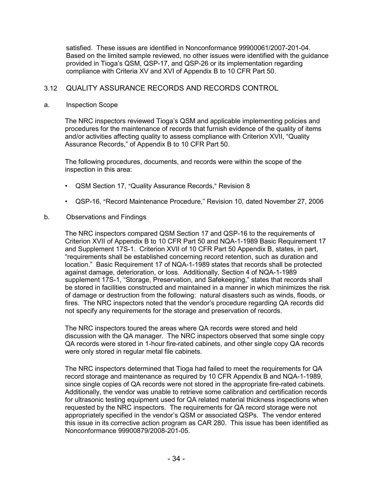satisfied. These issues are identified in Nonconformance 99900061/2007-201-04. Based on the limited sample reviewed, no other issues were identified with the guidance provided in Tioga's QSM, QSP-17, and QSP-26 or its implementation regarding compliance with Criteria XV and XVI of Appendix B to 10 CFR Part 50.

# 3.12 QUALITY ASSURANCE RECORDS AND RECORDS CONTROL

# a. Inspection Scope

The NRC inspectors reviewed Tioga's QSM and applicable implementing policies and procedures for the maintenance of records that furnish evidence of the quality of items and/or activities affecting quality to assess compliance with Criterion XVII, "Quality Assurance Records," of Appendix B to 10 CFR Part 50.

The following procedures, documents, and records were within the scope of the inspection in this area:

- QSM Section 17, "Quality Assurance Records," Revision 8
- QSP-16, "Record Maintenance Procedure," Revision 10, dated November 27, 2006
- b. Observations and Findings

The NRC inspectors compared QSM Section 17 and QSP-16 to the requirements of Criterion XVII of Appendix B to 10 CFR Part 50 and NQA-1-1989 Basic Requirement 17 and Supplement 17S-1. Criterion XVII of 10 CFR Part 50 Appendix B, states, in part, "requirements shall be established concerning record retention, such as duration and location." Basic Requirement 17 of NQA-1-1989 states that records shall be protected against damage, deterioration, or loss. Additionally, Section 4 of NQA-1-1989 supplement 17S-1, "Storage, Preservation, and Safekeeping," states that records shall be stored in facilities constructed and maintained in a manner in which minimizes the risk of damage or destruction from the following: natural disasters such as winds, floods, or fires. The NRC inspectors noted that the vendor's procedure regarding QA records did not specify any requirements for the storage and preservation of records.

The NRC inspectors toured the areas where QA records were stored and held discussion with the QA manager. The NRC inspectors observed that some single copy QA records were stored in 1-hour fire-rated cabinets, and other single copy QA records were only stored in regular metal file cabinets.

The NRC inspectors determined that Tioga had failed to meet the requirements for QA record storage and maintenance as required by 10 CFR Appendix B and NQA-1-1989, since single copies of QA records were not stored in the appropriate fire-rated cabinets. Additionally, the vendor was unable to retrieve some calibration and certification records for ultrasonic testing equipment used for QA related material thickness inspections when requested by the NRC inspectors. The requirements for QA record storage were not appropriately specified in the vendor's QSM or associated QSPs. The vendor entered this issue in its corrective action program as CAR 280. This issue has been identified as Nonconformance 99900879/2008-201-05.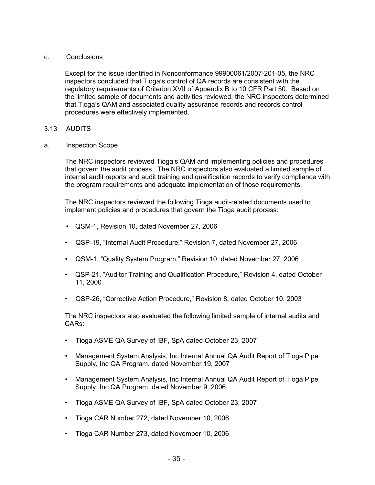### c. Conclusions

Except for the issue identified in Nonconformance 99900061/2007-201-05, the NRC inspectors concluded that Tioga's control of QA records are consistent with the regulatory requirements of Criterion XVII of Appendix B to 10 CFR Part 50. Based on the limited sample of documents and activities reviewed, the NRC inspectors determined that Tioga's QAM and associated quality assurance records and records control procedures were effectively implemented.

# 3.13 AUDITS

a. Inspection Scope

The NRC inspectors reviewed Tioga's QAM and implementing policies and procedures that govern the audit process. The NRC inspectors also evaluated a limited sample of internal audit reports and audit training and qualification records to verify compliance with the program requirements and adequate implementation of those requirements.

The NRC inspectors reviewed the following Tioga audit-related documents used to implement policies and procedures that govern the Tioga audit process:

- QSM-1, Revision 10, dated November 27, 2006
- QSP-19, "Internal Audit Procedure," Revision 7, dated November 27, 2006
- QSM-1, "Quality System Program," Revision 10, dated November 27, 2006
- QSP-21, "Auditor Training and Qualification Procedure," Revision 4, dated October 11, 2000
- QSP-26, "Corrective Action Procedure," Revision 8, dated October 10, 2003

The NRC inspectors also evaluated the following limited sample of internal audits and CARs:

- Tioga ASME QA Survey of IBF, SpA dated October 23, 2007
- Management System Analysis, Inc Internal Annual QA Audit Report of Tioga Pipe Supply, Inc QA Program, dated November 19, 2007
- Management System Analysis, Inc Internal Annual QA Audit Report of Tioga Pipe Supply, Inc QA Program, dated November 9, 2006
- Tioga ASME QA Survey of IBF, SpA dated October 23, 2007
- Tioga CAR Number 272, dated November 10, 2006
- Tioga CAR Number 273, dated November 10, 2006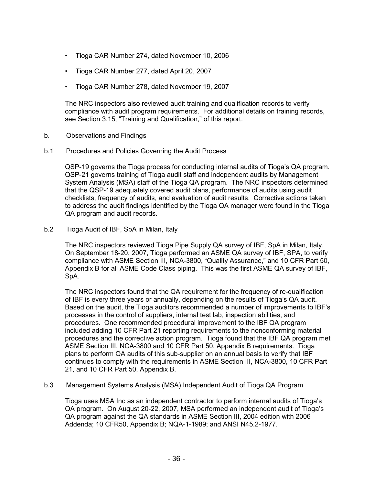- Tioga CAR Number 274, dated November 10, 2006
- Tioga CAR Number 277, dated April 20, 2007
- Tioga CAR Number 278, dated November 19, 2007

The NRC inspectors also reviewed audit training and qualification records to verify compliance with audit program requirements. For additional details on training records, see Section 3.15, "Training and Qualification," of this report.

- b. Observations and Findings
- b.1 Procedures and Policies Governing the Audit Process

QSP-19 governs the Tioga process for conducting internal audits of Tioga's QA program. QSP-21 governs training of Tioga audit staff and independent audits by Management System Analysis (MSA) staff of the Tioga QA program. The NRC inspectors determined that the QSP-19 adequately covered audit plans, performance of audits using audit checklists, frequency of audits, and evaluation of audit results. Corrective actions taken to address the audit findings identified by the Tioga QA manager were found in the Tioga QA program and audit records.

b.2 Tioga Audit of IBF, SpA in Milan, Italy

The NRC inspectors reviewed Tioga Pipe Supply QA survey of IBF, SpA in Milan, Italy. On September 18-20, 2007, Tioga performed an ASME QA survey of IBF, SPA, to verify compliance with ASME Section III, NCA-3800, "Quality Assurance," and 10 CFR Part 50, Appendix B for all ASME Code Class piping. This was the first ASME QA survey of IBF, SpA.

The NRC inspectors found that the QA requirement for the frequency of re-qualification of IBF is every three years or annually, depending on the results of Tioga's QA audit. Based on the audit, the Tioga auditors recommended a number of improvements to IBF's processes in the control of suppliers, internal test lab, inspection abilities, and procedures. One recommended procedural improvement to the IBF QA program included adding 10 CFR Part 21 reporting requirements to the nonconforming material procedures and the corrective action program. Tioga found that the IBF QA program met ASME Section III, NCA-3800 and 10 CFR Part 50, Appendix B requirements. Tioga plans to perform QA audits of this sub-supplier on an annual basis to verify that IBF continues to comply with the requirements in ASME Section III, NCA-3800, 10 CFR Part 21, and 10 CFR Part 50, Appendix B.

b.3 Management Systems Analysis (MSA) Independent Audit of Tioga QA Program

Tioga uses MSA Inc as an independent contractor to perform internal audits of Tioga's QA program. On August 20-22, 2007, MSA performed an independent audit of Tioga's QA program against the QA standards in ASME Section III, 2004 edition with 2006 Addenda; 10 CFR50, Appendix B; NQA-1-1989; and ANSI N45.2-1977.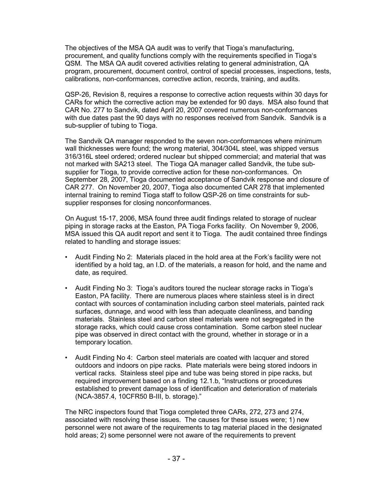The objectives of the MSA QA audit was to verify that Tioga's manufacturing, procurement, and quality functions comply with the requirements specified in Tioga's QSM. The MSA QA audit covered activities relating to general administration, QA program, procurement, document control, control of special processes, inspections, tests, calibrations, non-conformances, corrective action, records, training, and audits.

QSP-26, Revision 8, requires a response to corrective action requests within 30 days for CARs for which the corrective action may be extended for 90 days. MSA also found that CAR No. 277 to Sandvik, dated April 20, 2007 covered numerous non-conformances with due dates past the 90 days with no responses received from Sandvik. Sandvik is a sub-supplier of tubing to Tioga.

The Sandvik QA manager responded to the seven non-conformances where minimum wall thicknesses were found; the wrong material, 304/304L steel, was shipped versus 316/316L steel ordered; ordered nuclear but shipped commercial; and material that was not marked with SA213 steel. The Tioga QA manager called Sandvik, the tube subsupplier for Tioga, to provide corrective action for these non-conformances. On September 28, 2007, Tioga documented acceptance of Sandvik response and closure of CAR 277. On November 20, 2007, Tioga also documented CAR 278 that implemented internal training to remind Tioga staff to follow QSP-26 on time constraints for subsupplier responses for closing nonconformances.

On August 15-17, 2006, MSA found three audit findings related to storage of nuclear piping in storage racks at the Easton, PA Tioga Forks facility. On November 9, 2006, MSA issued this QA audit report and sent it to Tioga. The audit contained three findings related to handling and storage issues:

- Audit Finding No 2: Materials placed in the hold area at the Fork's facility were not identified by a hold tag, an I.D. of the materials, a reason for hold, and the name and date, as required.
- Audit Finding No 3: Tioga's auditors toured the nuclear storage racks in Tioga's Easton, PA facility. There are numerous places where stainless steel is in direct contact with sources of contamination including carbon steel materials, painted rack surfaces, dunnage, and wood with less than adequate cleanliness, and banding materials. Stainless steel and carbon steel materials were not segregated in the storage racks, which could cause cross contamination. Some carbon steel nuclear pipe was observed in direct contact with the ground, whether in storage or in a temporary location.
- Audit Finding No 4: Carbon steel materials are coated with lacquer and stored outdoors and indoors on pipe racks. Plate materials were being stored indoors in vertical racks. Stainless steel pipe and tube was being stored in pipe racks, but required improvement based on a finding 12.1.b, "Instructions or procedures established to prevent damage loss of identification and deterioration of materials (NCA-3857.4, 10CFR50 B-III, b. storage)."

The NRC inspectors found that Tioga completed three CARs, 272, 273 and 274, associated with resolving these issues. The causes for these issues were; 1) new personnel were not aware of the requirements to tag material placed in the designated hold areas; 2) some personnel were not aware of the requirements to prevent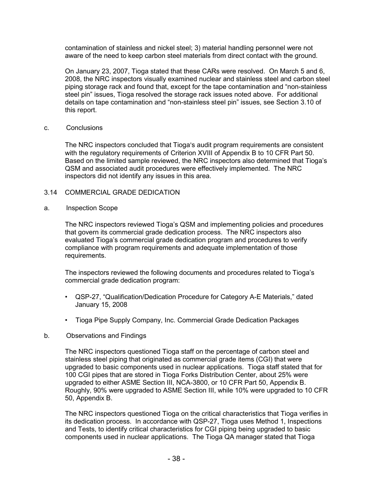contamination of stainless and nickel steel; 3) material handling personnel were not aware of the need to keep carbon steel materials from direct contact with the ground.

On January 23, 2007, Tioga stated that these CARs were resolved. On March 5 and 6, 2008, the NRC inspectors visually examined nuclear and stainless steel and carbon steel piping storage rack and found that, except for the tape contamination and "non-stainless steel pin" issues, Tioga resolved the storage rack issues noted above. For additional details on tape contamination and "non-stainless steel pin" issues, see Section 3.10 of this report.

#### c. Conclusions

The NRC inspectors concluded that Tioga's audit program requirements are consistent with the regulatory requirements of Criterion XVIII of Appendix B to 10 CFR Part 50. Based on the limited sample reviewed, the NRC inspectors also determined that Tioga's QSM and associated audit procedures were effectively implemented. The NRC inspectors did not identify any issues in this area.

# 3.14 COMMERCIAL GRADE DEDICATION

### a. Inspection Scope

The NRC inspectors reviewed Tioga's QSM and implementing policies and procedures that govern its commercial grade dedication process. The NRC inspectors also evaluated Tioga's commercial grade dedication program and procedures to verify compliance with program requirements and adequate implementation of those requirements.

The inspectors reviewed the following documents and procedures related to Tioga's commercial grade dedication program:

- QSP-27, "Qualification/Dedication Procedure for Category A-E Materials," dated January 15, 2008
- Tioga Pipe Supply Company, Inc. Commercial Grade Dedication Packages
- b. Observations and Findings

The NRC inspectors questioned Tioga staff on the percentage of carbon steel and stainless steel piping that originated as commercial grade items (CGI) that were upgraded to basic components used in nuclear applications. Tioga staff stated that for 100 CGI pipes that are stored in Tioga Forks Distribution Center, about 25% were upgraded to either ASME Section III, NCA-3800, or 10 CFR Part 50, Appendix B. Roughly, 90% were upgraded to ASME Section III, while 10% were upgraded to 10 CFR 50, Appendix B.

The NRC inspectors questioned Tioga on the critical characteristics that Tioga verifies in its dedication process. In accordance with QSP-27, Tioga uses Method 1, Inspections and Tests, to identify critical characteristics for CGI piping being upgraded to basic components used in nuclear applications. The Tioga QA manager stated that Tioga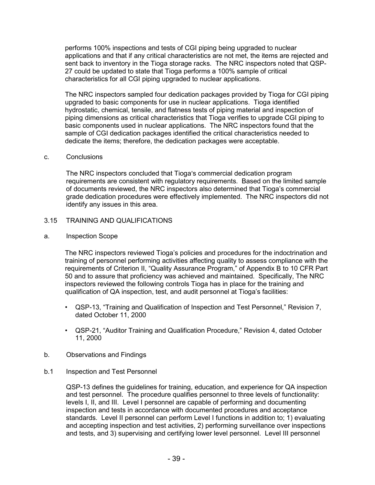performs 100% inspections and tests of CGI piping being upgraded to nuclear applications and that if any critical characteristics are not met, the items are rejected and sent back to inventory in the Tioga storage racks. The NRC inspectors noted that QSP-27 could be updated to state that Tioga performs a 100% sample of critical characteristics for all CGI piping upgraded to nuclear applications.

The NRC inspectors sampled four dedication packages provided by Tioga for CGI piping upgraded to basic components for use in nuclear applications. Tioga identified hydrostatic, chemical, tensile, and flatness tests of piping material and inspection of piping dimensions as critical characteristics that Tioga verifies to upgrade CGI piping to basic components used in nuclear applications. The NRC inspectors found that the sample of CGI dedication packages identified the critical characteristics needed to dedicate the items; therefore, the dedication packages were acceptable.

#### c. Conclusions

The NRC inspectors concluded that Tioga's commercial dedication program requirements are consistent with regulatory requirements. Based on the limited sample of documents reviewed, the NRC inspectors also determined that Tioga's commercial grade dedication procedures were effectively implemented. The NRC inspectors did not identify any issues in this area.

- 3.15 TRAINING AND QUALIFICATIONS
- a. Inspection Scope

The NRC inspectors reviewed Tioga's policies and procedures for the indoctrination and training of personnel performing activities affecting quality to assess compliance with the requirements of Criterion II, "Quality Assurance Program," of Appendix B to 10 CFR Part 50 and to assure that proficiency was achieved and maintained. Specifically, The NRC inspectors reviewed the following controls Tioga has in place for the training and qualification of QA inspection, test, and audit personnel at Tioga's facilities:

- QSP-13, "Training and Qualification of Inspection and Test Personnel," Revision 7, dated October 11, 2000
- QSP-21, "Auditor Training and Qualification Procedure," Revision 4, dated October 11, 2000
- b. Observations and Findings
- b.1 Inspection and Test Personnel

QSP-13 defines the guidelines for training, education, and experience for QA inspection and test personnel. The procedure qualifies personnel to three levels of functionality: levels I, II, and III. Level I personnel are capable of performing and documenting inspection and tests in accordance with documented procedures and acceptance standards. Level II personnel can perform Level I functions in addition to; 1) evaluating and accepting inspection and test activities, 2) performing surveillance over inspections and tests, and 3) supervising and certifying lower level personnel. Level III personnel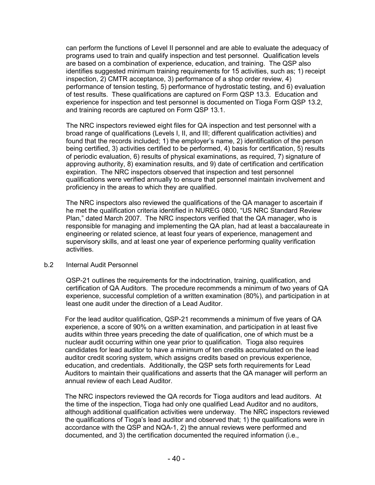can perform the functions of Level II personnel and are able to evaluate the adequacy of programs used to train and qualify inspection and test personnel. Qualification levels are based on a combination of experience, education, and training. The QSP also identifies suggested minimum training requirements for 15 activities, such as; 1) receipt inspection, 2) CMTR acceptance, 3) performance of a shop order review, 4) performance of tension testing, 5) performance of hydrostatic testing, and 6) evaluation of test results. These qualifications are captured on Form QSP 13.3. Education and experience for inspection and test personnel is documented on Tioga Form QSP 13.2, and training records are captured on Form QSP 13.1.

The NRC inspectors reviewed eight files for QA inspection and test personnel with a broad range of qualifications (Levels I, II, and III; different qualification activities) and found that the records included; 1) the employer's name, 2) identification of the person being certified, 3) activities certified to be performed, 4) basis for certification, 5) results of periodic evaluation, 6) results of physical examinations, as required, 7) signature of approving authority, 8) examination results, and 9) date of certification and certification expiration. The NRC inspectors observed that inspection and test personnel qualifications were verified annually to ensure that personnel maintain involvement and proficiency in the areas to which they are qualified.

The NRC inspectors also reviewed the qualifications of the QA manager to ascertain if he met the qualification criteria identified in NUREG 0800, "US NRC Standard Review Plan," dated March 2007. The NRC inspectors verified that the QA manager, who is responsible for managing and implementing the QA plan, had at least a baccalaureate in engineering or related science, at least four years of experience, management and supervisory skills, and at least one year of experience performing quality verification activities.

#### b.2 Internal Audit Personnel

QSP-21 outlines the requirements for the indoctrination, training, qualification, and certification of QA Auditors. The procedure recommends a minimum of two years of QA experience, successful completion of a written examination (80%), and participation in at least one audit under the direction of a Lead Auditor.

For the lead auditor qualification, QSP-21 recommends a minimum of five years of QA experience, a score of 90% on a written examination, and participation in at least five audits within three years preceding the date of qualification, one of which must be a nuclear audit occurring within one year prior to qualification. Tioga also requires candidates for lead auditor to have a minimum of ten credits accumulated on the lead auditor credit scoring system, which assigns credits based on previous experience, education, and credentials. Additionally, the QSP sets forth requirements for Lead Auditors to maintain their qualifications and asserts that the QA manager will perform an annual review of each Lead Auditor.

The NRC inspectors reviewed the QA records for Tioga auditors and lead auditors. At the time of the inspection, Tioga had only one qualified Lead Auditor and no auditors, although additional qualification activities were underway. The NRC inspectors reviewed the qualifications of Tioga's lead auditor and observed that; 1) the qualifications were in accordance with the QSP and NQA-1, 2) the annual reviews were performed and documented, and 3) the certification documented the required information (i.e.,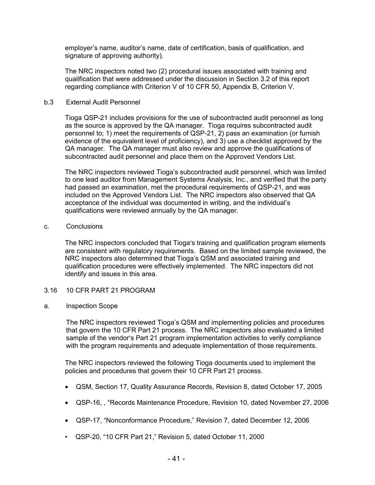employer's name, auditor's name, date of certification, basis of qualification, and signature of approving authority).

The NRC inspectors noted two (2) procedural issues associated with training and qualification that were addressed under the discussion in Section 3.2 of this report regarding compliance with Criterion V of 10 CFR 50, Appendix B, Criterion V.

### b.3 External Audit Personnel

Tioga QSP-21 includes provisions for the use of subcontracted audit personnel as long as the source is approved by the QA manager. Tioga requires subcontracted audit personnel to; 1) meet the requirements of QSP-21, 2) pass an examination (or furnish evidence of the equivalent level of proficiency), and 3) use a checklist approved by the QA manager. The QA manager must also review and approve the qualifications of subcontracted audit personnel and place them on the Approved Vendors List.

The NRC inspectors reviewed Tioga's subcontracted audit personnel, which was limited to one lead auditor from Management Systems Analysis, Inc., and verified that the party had passed an examination, met the procedural requirements of QSP-21, and was included on the Approved Vendors List. The NRC inspectors also observed that QA acceptance of the individual was documented in writing, and the individual's qualifications were reviewed annually by the QA manager.

#### c. Conclusions

The NRC inspectors concluded that Tioga's training and qualification program elements are consistent with regulatory requirements. Based on the limited sample reviewed, the NRC inspectors also determined that Tioga's QSM and associated training and qualification procedures were effectively implemented. The NRC inspectors did not identify and issues in this area.

# 3.16 10 CFR PART 21 PROGRAM

#### a. Inspection Scope

The NRC inspectors reviewed Tioga's QSM and implementing policies and procedures that govern the 10 CFR Part 21 process. The NRC inspectors also evaluated a limited sample of the vendor's Part 21 program implementation activities to verify compliance with the program requirements and adequate implementation of those requirements.

The NRC inspectors reviewed the following Tioga documents used to implement the policies and procedures that govern their 10 CFR Part 21 process.

- QSM, Section 17, Quality Assurance Records, Revision 8, dated October 17, 2005
- QSP-16, , "Records Maintenance Procedure, Revision 10, dated November 27, 2006
- QSP-17, "Nonconformance Procedure," Revision 7, dated December 12, 2006
- QSP-20, "10 CFR Part 21," Revision 5, dated October 11, 2000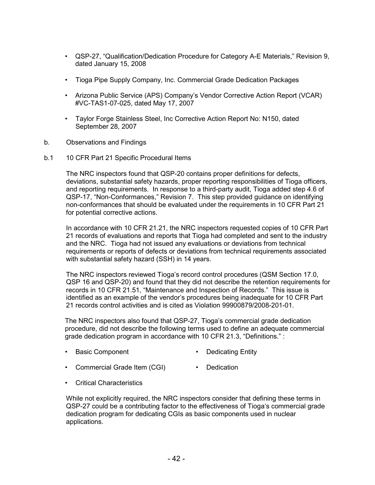- QSP-27, "Qualification/Dedication Procedure for Category A-E Materials," Revision 9, dated January 15, 2008
- Tioga Pipe Supply Company, Inc. Commercial Grade Dedication Packages
- Arizona Public Service (APS) Company's Vendor Corrective Action Report (VCAR) #VC-TAS1-07-025, dated May 17, 2007
- Taylor Forge Stainless Steel, Inc Corrective Action Report No: N150, dated September 28, 2007
- b. Observations and Findings
- b.1 10 CFR Part 21 Specific Procedural Items

The NRC inspectors found that QSP-20 contains proper definitions for defects, deviations, substantial safety hazards, proper reporting responsibilities of Tioga officers, and reporting requirements. In response to a third-party audit, Tioga added step 4.6 of QSP-17, "Non-Conformances," Revision 7. This step provided guidance on identifying non-conformances that should be evaluated under the requirements in 10 CFR Part 21 for potential corrective actions.

In accordance with 10 CFR 21.21, the NRC inspectors requested copies of 10 CFR Part 21 records of evaluations and reports that Tioga had completed and sent to the industry and the NRC. Tioga had not issued any evaluations or deviations from technical requirements or reports of defects or deviations from technical requirements associated with substantial safety hazard (SSH) in 14 years.

The NRC inspectors reviewed Tioga's record control procedures (QSM Section 17.0, QSP 16 and QSP-20) and found that they did not describe the retention requirements for records in 10 CFR 21.51, "Maintenance and Inspection of Records." This issue is identified as an example of the vendor's procedures being inadequate for 10 CFR Part 21 records control activities and is cited as Violation 99900879/2008-201-01.

The NRC inspectors also found that QSP-27, Tioga's commercial grade dedication procedure, did not describe the following terms used to define an adequate commercial grade dedication program in accordance with 10 CFR 21.3, "Definitions." :

- Basic Component Dedicating Entity
- Commercial Grade Item (CGI) Dedication
- Critical Characteristics

While not explicitly required, the NRC inspectors consider that defining these terms in QSP-27 could be a contributing factor to the effectiveness of Tioga's commercial grade dedication program for dedicating CGIs as basic components used in nuclear applications.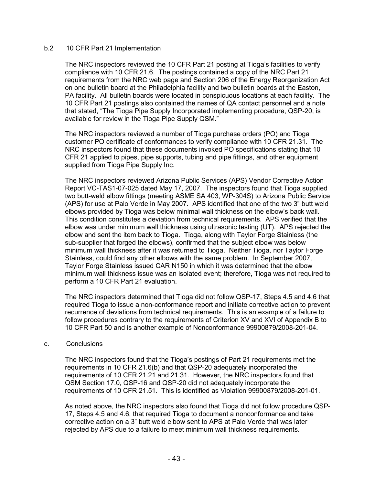### b.2 10 CFR Part 21 Implementation

The NRC inspectors reviewed the 10 CFR Part 21 posting at Tioga's facilities to verify compliance with 10 CFR 21.6. The postings contained a copy of the NRC Part 21 requirements from the NRC web page and Section 206 of the Energy Reorganization Act on one bulletin board at the Philadelphia facility and two bulletin boards at the Easton, PA facility. All bulletin boards were located in conspicuous locations at each facility. The 10 CFR Part 21 postings also contained the names of QA contact personnel and a note that stated, "The Tioga Pipe Supply Incorporated implementing procedure, QSP-20, is available for review in the Tioga Pipe Supply QSM."

The NRC inspectors reviewed a number of Tioga purchase orders (PO) and Tioga customer PO certificate of conformances to verify compliance with 10 CFR 21.31. The NRC inspectors found that these documents invoked PO specifications stating that 10 CFR 21 applied to pipes, pipe supports, tubing and pipe fittings, and other equipment supplied from Tioga Pipe Supply Inc.

The NRC inspectors reviewed Arizona Public Services (APS) Vendor Corrective Action Report VC-TAS1-07-025 dated May 17, 2007. The inspectors found that Tioga supplied two butt-weld elbow fittings (meeting ASME SA 403, WP-304S) to Arizona Public Service (APS) for use at Palo Verde in May 2007. APS identified that one of the two 3" butt weld elbows provided by Tioga was below minimal wall thickness on the elbow's back wall. This condition constitutes a deviation from technical requirements. APS verified that the elbow was under minimum wall thickness using ultrasonic testing (UT). APS rejected the elbow and sent the item back to Tioga. Tioga, along with Taylor Forge Stainless (the sub-supplier that forged the elbows), confirmed that the subject elbow was below minimum wall thickness after it was returned to Tioga. Neither Tioga, nor Taylor Forge Stainless, could find any other elbows with the same problem. In September 2007, Taylor Forge Stainless issued CAR N150 in which it was determined that the elbow minimum wall thickness issue was an isolated event; therefore, Tioga was not required to perform a 10 CFR Part 21 evaluation.

The NRC inspectors determined that Tioga did not follow QSP-17, Steps 4.5 and 4.6 that required Tioga to issue a non-conformance report and initiate corrective action to prevent recurrence of deviations from technical requirements. This is an example of a failure to follow procedures contrary to the requirements of Criterion XV and XVI of Appendix B to 10 CFR Part 50 and is another example of Nonconformance 99900879/2008-201-04.

#### c. Conclusions

The NRC inspectors found that the Tioga's postings of Part 21 requirements met the requirements in 10 CFR 21.6(b) and that QSP-20 adequately incorporated the requirements of 10 CFR 21.21 and 21.31. However, the NRC inspectors found that QSM Section 17.0, QSP-16 and QSP-20 did not adequately incorporate the requirements of 10 CFR 21.51. This is identified as Violation 99900879/2008-201-01.

As noted above, the NRC inspectors also found that Tioga did not follow procedure QSP-17, Steps 4.5 and 4.6, that required Tioga to document a nonconformance and take corrective action on a 3" butt weld elbow sent to APS at Palo Verde that was later rejected by APS due to a failure to meet minimum wall thickness requirements.